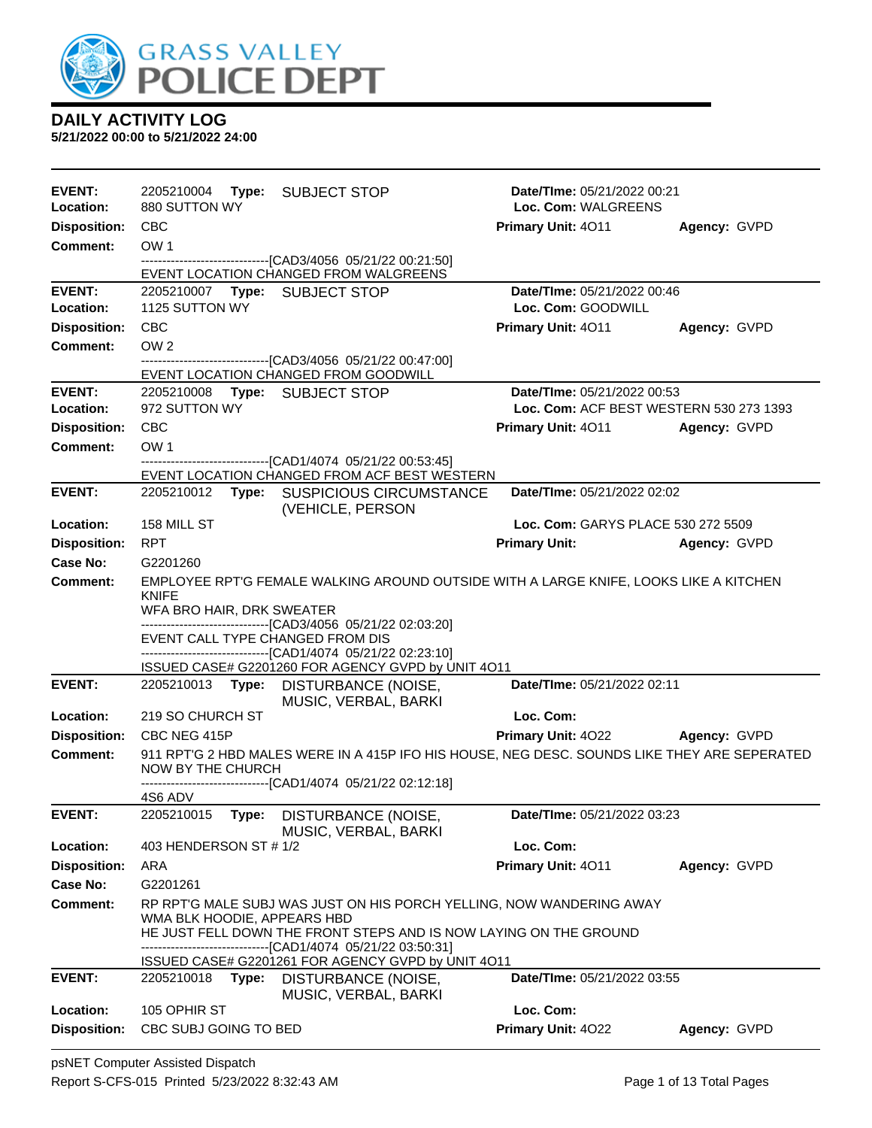

**5/21/2022 00:00 to 5/21/2022 24:00**

| <b>EVENT:</b>        | 2205210004<br>Type: SUBJECT STOP                                                                              | Date/TIme: 05/21/2022 00:21             |              |
|----------------------|---------------------------------------------------------------------------------------------------------------|-----------------------------------------|--------------|
| Location:            | 880 SUTTON WY                                                                                                 | Loc. Com: WALGREENS                     |              |
| <b>Disposition:</b>  | <b>CBC</b>                                                                                                    | Primary Unit: 4011                      | Agency: GVPD |
| <b>Comment:</b>      | OW <sub>1</sub>                                                                                               |                                         |              |
|                      | -------------------------------[CAD3/4056 05/21/22 00:21:50]<br>EVENT LOCATION CHANGED FROM WALGREENS         |                                         |              |
| <b>EVENT:</b>        | 2205210007 Type: SUBJECT STOP                                                                                 | Date/TIme: 05/21/2022 00:46             |              |
| Location:            | 1125 SUTTON WY                                                                                                | Loc. Com: GOODWILL                      |              |
| <b>Disposition:</b>  | <b>CBC</b>                                                                                                    | Primary Unit: 4011                      | Agency: GVPD |
| <b>Comment:</b>      | OW <sub>2</sub>                                                                                               |                                         |              |
|                      | ---------------------------------[CAD3/4056 05/21/22 00:47:00]<br>EVENT LOCATION CHANGED FROM GOODWILL        |                                         |              |
| <b>EVENT:</b>        | Type: SUBJECT STOP<br>2205210008                                                                              | Date/TIme: 05/21/2022 00:53             |              |
| Location:            | 972 SUTTON WY                                                                                                 | Loc. Com: ACF BEST WESTERN 530 273 1393 |              |
| <b>Disposition:</b>  | <b>CBC</b>                                                                                                    | <b>Primary Unit: 4011</b>               | Agency: GVPD |
| <b>Comment:</b>      | OW <sub>1</sub>                                                                                               |                                         |              |
|                      | --------------------------------[CAD1/4074 05/21/22 00:53:45]<br>EVENT LOCATION CHANGED FROM ACF BEST WESTERN |                                         |              |
| <b>EVENT:</b>        | 2205210012 Type: SUSPICIOUS CIRCUMSTANCE<br>(VEHICLE, PERSON                                                  | Date/TIme: 05/21/2022 02:02             |              |
| Location:            | 158 MILL ST                                                                                                   | Loc. Com: GARYS PLACE 530 272 5509      |              |
| <b>Disposition:</b>  | <b>RPT</b>                                                                                                    | <b>Primary Unit:</b>                    | Agency: GVPD |
| Case No:             | G2201260                                                                                                      |                                         |              |
| <b>Comment:</b>      | EMPLOYEE RPT'G FEMALE WALKING AROUND OUTSIDE WITH A LARGE KNIFE, LOOKS LIKE A KITCHEN                         |                                         |              |
|                      | <b>KNIFE</b><br>WFA BRO HAIR, DRK SWEATER                                                                     |                                         |              |
|                      | -------------------------------[CAD3/4056 05/21/22 02:03:20]                                                  |                                         |              |
|                      | EVENT CALL TYPE CHANGED FROM DIS<br>------------------------------[CAD1/4074 05/21/22 02:23:10]               |                                         |              |
|                      |                                                                                                               |                                         |              |
|                      | ISSUED CASE# G2201260 FOR AGENCY GVPD by UNIT 4O11                                                            |                                         |              |
| <b>EVENT:</b>        | 2205210013 Type:<br>DISTURBANCE (NOISE,<br>MUSIC, VERBAL, BARKI                                               | Date/TIme: 05/21/2022 02:11             |              |
| Location:            | 219 SO CHURCH ST                                                                                              | Loc. Com:                               |              |
| <b>Disposition:</b>  | CBC NEG 415P                                                                                                  | Primary Unit: 4022                      | Agency: GVPD |
| <b>Comment:</b>      | 911 RPT'G 2 HBD MALES WERE IN A 415P IFO HIS HOUSE, NEG DESC. SOUNDS LIKE THEY ARE SEPERATED                  |                                         |              |
|                      | NOW BY THE CHURCH<br>------------------------------[CAD1/4074_05/21/22 02:12:18]                              |                                         |              |
|                      | 4S6 ADV                                                                                                       |                                         |              |
| <b>EVENT:</b>        | 2205210015 Type: DISTURBANCE (NOISE,                                                                          | Date/TIme: 05/21/2022 03:23             |              |
|                      | MUSIC, VERBAL, BARKI                                                                                          |                                         |              |
| Location:            | 403 HENDERSON ST # 1/2                                                                                        | Loc. Com:                               |              |
| <b>Disposition:</b>  | ARA                                                                                                           | Primary Unit: 4011                      | Agency: GVPD |
| Case No:<br>Comment: | G2201261                                                                                                      |                                         |              |
|                      | RP RPT'G MALE SUBJ WAS JUST ON HIS PORCH YELLING, NOW WANDERING AWAY<br>WMA BLK HOODIE, APPEARS HBD           |                                         |              |
|                      | HE JUST FELL DOWN THE FRONT STEPS AND IS NOW LAYING ON THE GROUND                                             |                                         |              |
|                      | ---[CAD1/4074_05/21/22 03:50:31]<br>ISSUED CASE# G2201261 FOR AGENCY GVPD by UNIT 4O11                        |                                         |              |
| <b>EVENT:</b>        | 2205210018<br>Type:<br>DISTURBANCE (NOISE,<br>MUSIC, VERBAL, BARKI                                            | Date/TIme: 05/21/2022 03:55             |              |
| Location:            | 105 OPHIR ST                                                                                                  | Loc. Com:                               |              |

psNET Computer Assisted Dispatch Report S-CFS-015 Printed 5/23/2022 8:32:43 AM Page 1 of 13 Total Pages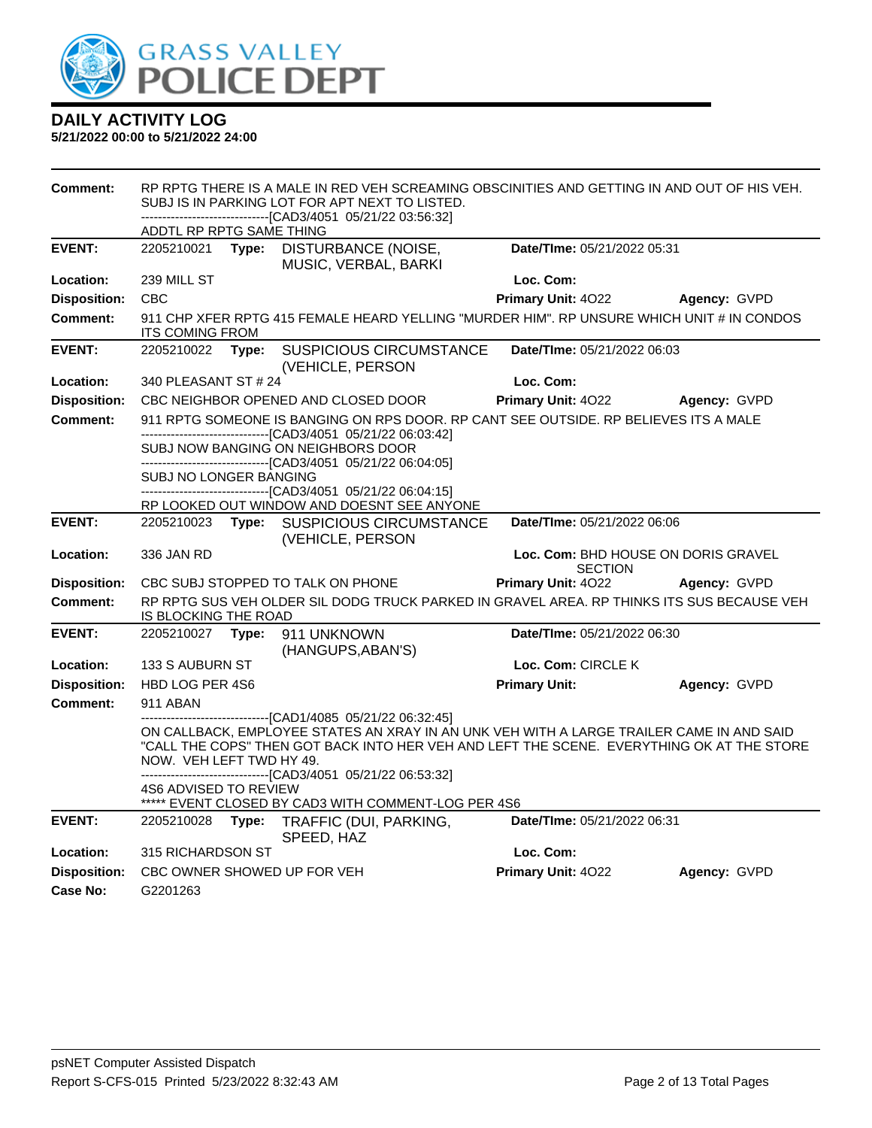

| <b>Comment:</b>     | RP RPTG THERE IS A MALE IN RED VEH SCREAMING OBSCINITIES AND GETTING IN AND OUT OF HIS VEH.<br>SUBJ IS IN PARKING LOT FOR APT NEXT TO LISTED.<br>-------------------------------[CAD3/4051 05/21/22 03:56:32] |       |                                                                                                                                                                                                                                                                                                              |                             |                                     |
|---------------------|---------------------------------------------------------------------------------------------------------------------------------------------------------------------------------------------------------------|-------|--------------------------------------------------------------------------------------------------------------------------------------------------------------------------------------------------------------------------------------------------------------------------------------------------------------|-----------------------------|-------------------------------------|
|                     | ADDTL RP RPTG SAME THING                                                                                                                                                                                      |       |                                                                                                                                                                                                                                                                                                              |                             |                                     |
| <b>EVENT:</b>       | 2205210021 Type:                                                                                                                                                                                              |       | DISTURBANCE (NOISE,<br>MUSIC, VERBAL, BARKI                                                                                                                                                                                                                                                                  | Date/TIme: 05/21/2022 05:31 |                                     |
| Location:           | 239 MILL ST                                                                                                                                                                                                   |       |                                                                                                                                                                                                                                                                                                              | Loc. Com:                   |                                     |
| <b>Disposition:</b> | <b>CBC</b>                                                                                                                                                                                                    |       |                                                                                                                                                                                                                                                                                                              | Primary Unit: 4022          | Agency: GVPD                        |
| <b>Comment:</b>     | <b>ITS COMING FROM</b>                                                                                                                                                                                        |       | 911 CHP XFER RPTG 415 FEMALE HEARD YELLING "MURDER HIM". RP UNSURE WHICH UNIT # IN CONDOS                                                                                                                                                                                                                    |                             |                                     |
| <b>EVENT:</b>       | 2205210022 Type:                                                                                                                                                                                              |       | <b>SUSPICIOUS CIRCUMSTANCE</b><br>(VEHICLE, PERSON                                                                                                                                                                                                                                                           | Date/TIme: 05/21/2022 06:03 |                                     |
| Location:           | 340 PLEASANT ST # 24                                                                                                                                                                                          |       |                                                                                                                                                                                                                                                                                                              | Loc. Com:                   |                                     |
| <b>Disposition:</b> |                                                                                                                                                                                                               |       | CBC NEIGHBOR OPENED AND CLOSED DOOR                                                                                                                                                                                                                                                                          | Primary Unit: 4022          | Agency: GVPD                        |
| <b>Comment:</b>     |                                                                                                                                                                                                               |       | 911 RPTG SOMEONE IS BANGING ON RPS DOOR. RP CANT SEE OUTSIDE. RP BELIEVES ITS A MALE                                                                                                                                                                                                                         |                             |                                     |
|                     |                                                                                                                                                                                                               |       | -------------------------[CAD3/4051 05/21/22 06:03:42]<br>SUBJ NOW BANGING ON NEIGHBORS DOOR                                                                                                                                                                                                                 |                             |                                     |
|                     | SUBJ NO LONGER BANGING                                                                                                                                                                                        |       | -------------------------------[CAD3/4051 05/21/22 06:04:05]<br>------------------------[CAD3/4051 05/21/22 06:04:15]                                                                                                                                                                                        |                             |                                     |
|                     |                                                                                                                                                                                                               |       | RP LOOKED OUT WINDOW AND DOESNT SEE ANYONE                                                                                                                                                                                                                                                                   |                             |                                     |
| <b>EVENT:</b>       |                                                                                                                                                                                                               |       | 2205210023 Type: SUSPICIOUS CIRCUMSTANCE<br>(VEHICLE, PERSON                                                                                                                                                                                                                                                 | Date/TIme: 05/21/2022 06:06 |                                     |
| Location:           | 336 JAN RD                                                                                                                                                                                                    |       |                                                                                                                                                                                                                                                                                                              | <b>SECTION</b>              | Loc. Com: BHD HOUSE ON DORIS GRAVEL |
| <b>Disposition:</b> |                                                                                                                                                                                                               |       | CBC SUBJ STOPPED TO TALK ON PHONE                                                                                                                                                                                                                                                                            | Primary Unit: 4022          | Agency: GVPD                        |
| <b>Comment:</b>     | IS BLOCKING THE ROAD                                                                                                                                                                                          |       | RP RPTG SUS VEH OLDER SIL DODG TRUCK PARKED IN GRAVEL AREA. RP THINKS ITS SUS BECAUSE VEH                                                                                                                                                                                                                    |                             |                                     |
| <b>EVENT:</b>       | 2205210027 Type:                                                                                                                                                                                              |       | 911 UNKNOWN<br>(HANGUPS, ABAN'S)                                                                                                                                                                                                                                                                             | Date/TIme: 05/21/2022 06:30 |                                     |
| Location:           | 133 S AUBURN ST                                                                                                                                                                                               |       |                                                                                                                                                                                                                                                                                                              | Loc. Com: CIRCLE K          |                                     |
| <b>Disposition:</b> | HBD LOG PER 4S6                                                                                                                                                                                               |       |                                                                                                                                                                                                                                                                                                              | <b>Primary Unit:</b>        | Agency: GVPD                        |
| <b>Comment:</b>     | 911 ABAN                                                                                                                                                                                                      |       |                                                                                                                                                                                                                                                                                                              |                             |                                     |
|                     | NOW. VEH LEFT TWD HY 49.                                                                                                                                                                                      |       | ---------------------[CAD1/4085_05/21/22_06:32:45]<br>ON CALLBACK, EMPLOYEE STATES AN XRAY IN AN UNK VEH WITH A LARGE TRAILER CAME IN AND SAID<br>"CALL THE COPS" THEN GOT BACK INTO HER VEH AND LEFT THE SCENE. EVERYTHING OK AT THE STORE<br>--------------------------------[CAD3/4051 05/21/22 06:53:32] |                             |                                     |
|                     | <b>4S6 ADVISED TO REVIEW</b>                                                                                                                                                                                  |       | ***** EVENT CLOSED BY CAD3 WITH COMMENT-LOG PER 4S6                                                                                                                                                                                                                                                          |                             |                                     |
| <b>EVENT:</b>       | 2205210028                                                                                                                                                                                                    | Type: | TRAFFIC (DUI, PARKING,<br>SPEED, HAZ                                                                                                                                                                                                                                                                         | Date/TIme: 05/21/2022 06:31 |                                     |
| Location:           | 315 RICHARDSON ST                                                                                                                                                                                             |       |                                                                                                                                                                                                                                                                                                              | Loc. Com:                   |                                     |
| <b>Disposition:</b> |                                                                                                                                                                                                               |       | CBC OWNER SHOWED UP FOR VEH                                                                                                                                                                                                                                                                                  | Primary Unit: 4022          | Agency: GVPD                        |
| Case No:            | G2201263                                                                                                                                                                                                      |       |                                                                                                                                                                                                                                                                                                              |                             |                                     |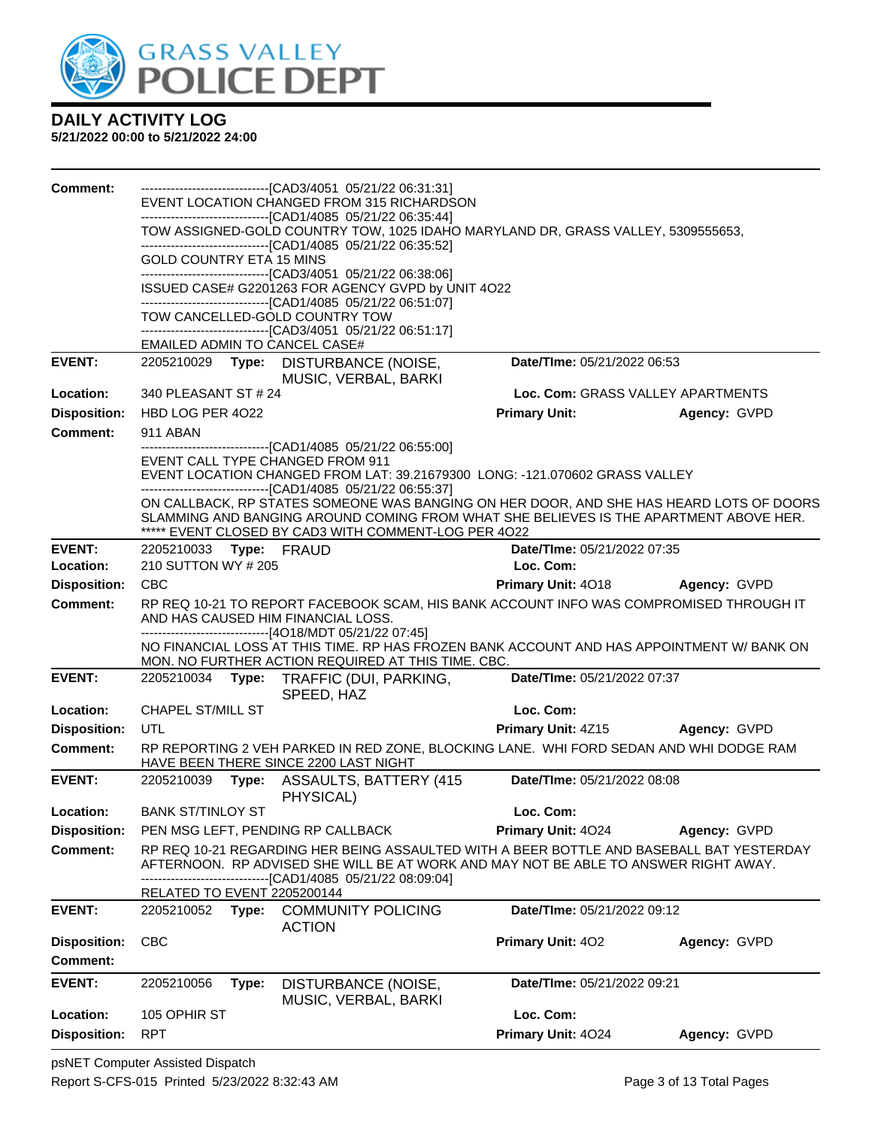

| <b>Comment:</b>     |                                 |       | -------------------------------[CAD3/4051 05/21/22 06:31:31]<br>EVENT LOCATION CHANGED FROM 315 RICHARDSON                                                                                                          |                                   |              |
|---------------------|---------------------------------|-------|---------------------------------------------------------------------------------------------------------------------------------------------------------------------------------------------------------------------|-----------------------------------|--------------|
|                     |                                 |       | -------------------------------[CAD1/4085 05/21/22 06:35:44]                                                                                                                                                        |                                   |              |
|                     |                                 |       | TOW ASSIGNED-GOLD COUNTRY TOW, 1025 IDAHO MARYLAND DR, GRASS VALLEY, 5309555653,                                                                                                                                    |                                   |              |
|                     | <b>GOLD COUNTRY ETA 15 MINS</b> |       | -------------------------------[CAD1/4085 05/21/22 06:35:52]                                                                                                                                                        |                                   |              |
|                     |                                 |       | --------------------------------[CAD3/4051 05/21/22 06:38:06]                                                                                                                                                       |                                   |              |
|                     |                                 |       | ISSUED CASE# G2201263 FOR AGENCY GVPD by UNIT 4O22<br>-------------------------------[CAD1/4085 05/21/22 06:51:07]                                                                                                  |                                   |              |
|                     |                                 |       | TOW CANCELLED-GOLD COUNTRY TOW                                                                                                                                                                                      |                                   |              |
|                     |                                 |       | -------------------------------[CAD3/4051 05/21/22 06:51:17]<br><b>EMAILED ADMIN TO CANCEL CASE#</b>                                                                                                                |                                   |              |
| <b>EVENT:</b>       |                                 |       | 2205210029 Type: DISTURBANCE (NOISE,                                                                                                                                                                                | Date/TIme: 05/21/2022 06:53       |              |
|                     |                                 |       | MUSIC, VERBAL, BARKI                                                                                                                                                                                                |                                   |              |
| Location:           | 340 PLEASANT ST # 24            |       |                                                                                                                                                                                                                     | Loc. Com: GRASS VALLEY APARTMENTS |              |
| <b>Disposition:</b> | HBD LOG PER 4022                |       |                                                                                                                                                                                                                     | <b>Primary Unit:</b>              | Agency: GVPD |
| <b>Comment:</b>     | 911 ABAN                        |       | -------------------------------[CAD1/4085 05/21/22 06:55:00]                                                                                                                                                        |                                   |              |
|                     |                                 |       | EVENT CALL TYPE CHANGED FROM 911<br>EVENT LOCATION CHANGED FROM LAT: 39.21679300 LONG: -121.070602 GRASS VALLEY                                                                                                     |                                   |              |
|                     |                                 |       | -------------------------------[CAD1/4085 05/21/22 06:55:37]                                                                                                                                                        |                                   |              |
|                     |                                 |       | ON CALLBACK, RP STATES SOMEONE WAS BANGING ON HER DOOR, AND SHE HAS HEARD LOTS OF DOORS                                                                                                                             |                                   |              |
|                     |                                 |       | SLAMMING AND BANGING AROUND COMING FROM WHAT SHE BELIEVES IS THE APARTMENT ABOVE HER.<br>***** EVENT CLOSED BY CAD3 WITH COMMENT-LOG PER 4022                                                                       |                                   |              |
| <b>EVENT:</b>       | 2205210033 Type: FRAUD          |       |                                                                                                                                                                                                                     | Date/TIme: 05/21/2022 07:35       |              |
| Location:           | 210 SUTTON WY # 205             |       |                                                                                                                                                                                                                     | Loc. Com:                         |              |
| <b>Disposition:</b> | <b>CBC</b>                      |       |                                                                                                                                                                                                                     | Primary Unit: 4018 Agency: GVPD   |              |
| <b>Comment:</b>     |                                 |       | RP REQ 10-21 TO REPORT FACEBOOK SCAM, HIS BANK ACCOUNT INFO WAS COMPROMISED THROUGH IT<br>AND HAS CAUSED HIM FINANCIAL LOSS.                                                                                        |                                   |              |
|                     |                                 |       | ------------------------------[4O18/MDT 05/21/22 07:45]                                                                                                                                                             |                                   |              |
|                     |                                 |       | NO FINANCIAL LOSS AT THIS TIME. RP HAS FROZEN BANK ACCOUNT AND HAS APPOINTMENT W/ BANK ON<br>MON. NO FURTHER ACTION REQUIRED AT THIS TIME. CBC.                                                                     |                                   |              |
| <b>EVENT:</b>       |                                 |       | 2205210034 Type: TRAFFIC (DUI, PARKING,                                                                                                                                                                             | Date/TIme: 05/21/2022 07:37       |              |
|                     |                                 |       | SPEED, HAZ                                                                                                                                                                                                          |                                   |              |
| Location:           | CHAPEL ST/MILL ST               |       |                                                                                                                                                                                                                     | Loc. Com:                         |              |
| <b>Disposition:</b> | UTL                             |       |                                                                                                                                                                                                                     | Primary Unit: 4Z15                | Agency: GVPD |
| Comment:            |                                 |       | RP REPORTING 2 VEH PARKED IN RED ZONE, BLOCKING LANE. WHI FORD SEDAN AND WHI DODGE RAM<br>HAVE BEEN THERE SINCE 2200 LAST NIGHT                                                                                     |                                   |              |
| <b>EVENT:</b>       |                                 |       | 2205210039 Type: ASSAULTS, BATTERY (415<br>PHYSICAL)                                                                                                                                                                | Date/TIme: 05/21/2022 08:08       |              |
| Location:           | <b>BANK ST/TINLOY ST</b>        |       |                                                                                                                                                                                                                     | Loc. Com:                         |              |
| <b>Disposition:</b> |                                 |       | PEN MSG LEFT, PENDING RP CALLBACK                                                                                                                                                                                   | Primary Unit: 4024                | Agency: GVPD |
| <b>Comment:</b>     |                                 |       | RP REQ 10-21 REGARDING HER BEING ASSAULTED WITH A BEER BOTTLE AND BASEBALL BAT YESTERDAY<br>AFTERNOON. RP ADVISED SHE WILL BE AT WORK AND MAY NOT BE ABLE TO ANSWER RIGHT AWAY.<br>---[CAD1/4085 05/21/22 08:09:04] |                                   |              |
|                     | RELATED TO EVENT 2205200144     |       |                                                                                                                                                                                                                     |                                   |              |
| <b>EVENT:</b>       | 2205210052                      | Type: | <b>COMMUNITY POLICING</b><br><b>ACTION</b>                                                                                                                                                                          | Date/TIme: 05/21/2022 09:12       |              |
| <b>Disposition:</b> | <b>CBC</b>                      |       |                                                                                                                                                                                                                     | Primary Unit: 402                 | Agency: GVPD |
| <b>Comment:</b>     |                                 |       |                                                                                                                                                                                                                     |                                   |              |
| <b>EVENT:</b>       | 2205210056                      | Type: | DISTURBANCE (NOISE,<br>MUSIC, VERBAL, BARKI                                                                                                                                                                         | Date/TIme: 05/21/2022 09:21       |              |
| Location:           | 105 OPHIR ST                    |       |                                                                                                                                                                                                                     | Loc. Com:                         |              |
| <b>Disposition:</b> | <b>RPT</b>                      |       |                                                                                                                                                                                                                     | Primary Unit: 4024                | Agency: GVPD |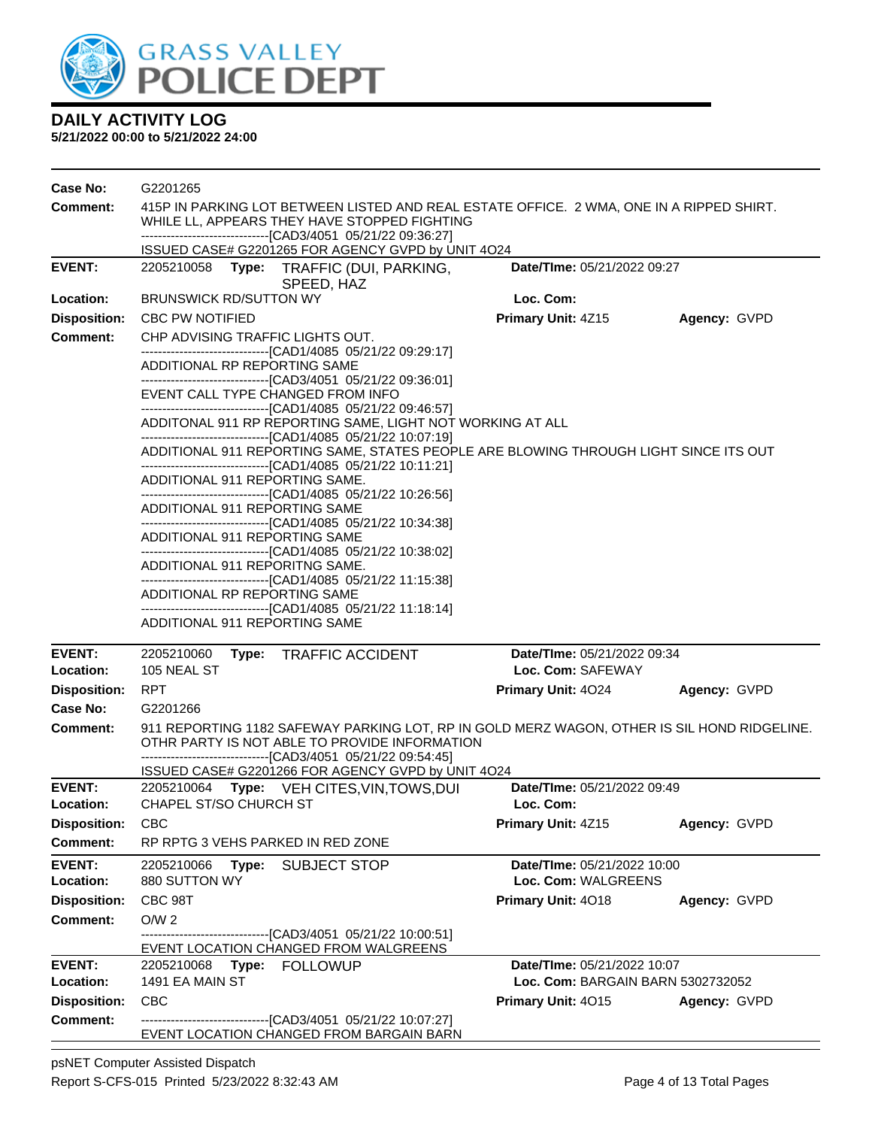

**5/21/2022 00:00 to 5/21/2022 24:00**

| Case No:                         | G2201265                                                                                                                                                                                                                                                                                                                                                                                                                                                                                                                                                                                                                                                                                                                                                                                                                                                                                                                                                                                                                                                                               |                                                    |              |  |  |
|----------------------------------|----------------------------------------------------------------------------------------------------------------------------------------------------------------------------------------------------------------------------------------------------------------------------------------------------------------------------------------------------------------------------------------------------------------------------------------------------------------------------------------------------------------------------------------------------------------------------------------------------------------------------------------------------------------------------------------------------------------------------------------------------------------------------------------------------------------------------------------------------------------------------------------------------------------------------------------------------------------------------------------------------------------------------------------------------------------------------------------|----------------------------------------------------|--------------|--|--|
| <b>Comment:</b>                  | 415P IN PARKING LOT BETWEEN LISTED AND REAL ESTATE OFFICE. 2 WMA, ONE IN A RIPPED SHIRT.<br>WHILE LL, APPEARS THEY HAVE STOPPED FIGHTING                                                                                                                                                                                                                                                                                                                                                                                                                                                                                                                                                                                                                                                                                                                                                                                                                                                                                                                                               |                                                    |              |  |  |
|                                  | -------------------------------[CAD3/4051 05/21/22 09:36:27]<br>ISSUED CASE# G2201265 FOR AGENCY GVPD by UNIT 4O24                                                                                                                                                                                                                                                                                                                                                                                                                                                                                                                                                                                                                                                                                                                                                                                                                                                                                                                                                                     |                                                    |              |  |  |
| <b>EVENT:</b>                    | 2205210058<br>Type:<br>TRAFFIC (DUI, PARKING,<br>SPEED, HAZ                                                                                                                                                                                                                                                                                                                                                                                                                                                                                                                                                                                                                                                                                                                                                                                                                                                                                                                                                                                                                            | Date/TIme: 05/21/2022 09:27                        |              |  |  |
| Location:                        | <b>BRUNSWICK RD/SUTTON WY</b>                                                                                                                                                                                                                                                                                                                                                                                                                                                                                                                                                                                                                                                                                                                                                                                                                                                                                                                                                                                                                                                          | Loc. Com:                                          |              |  |  |
| <b>Disposition:</b>              | <b>CBC PW NOTIFIED</b>                                                                                                                                                                                                                                                                                                                                                                                                                                                                                                                                                                                                                                                                                                                                                                                                                                                                                                                                                                                                                                                                 | Primary Unit: 4Z15                                 | Agency: GVPD |  |  |
| <b>Comment:</b>                  | CHP ADVISING TRAFFIC LIGHTS OUT.<br>-------------------------------[CAD1/4085 05/21/22 09:29:17]<br>ADDITIONAL RP REPORTING SAME<br>----------------------------------[CAD3/4051 05/21/22 09:36:01]<br>EVENT CALL TYPE CHANGED FROM INFO<br>---------------------------------[CAD1/4085 05/21/22 09:46:57]<br>ADDITONAL 911 RP REPORTING SAME, LIGHT NOT WORKING AT ALL<br>----------------------------------[CAD1/4085 05/21/22 10:07:19]<br>ADDITIONAL 911 REPORTING SAME, STATES PEOPLE ARE BLOWING THROUGH LIGHT SINCE ITS OUT<br>-------------------------------[CAD1/4085 05/21/22 10:11:21]<br>ADDITIONAL 911 REPORTING SAME.<br>----------------------------------[CAD1/4085 05/21/22 10:26:56]<br>ADDITIONAL 911 REPORTING SAME<br>----------------------------------[CAD1/4085 05/21/22 10:34:38]<br>ADDITIONAL 911 REPORTING SAME<br>----------------------------------[CAD1/4085 05/21/22 10:38:02]<br>ADDITIONAL 911 REPORITNG SAME.<br>ADDITIONAL RP REPORTING SAME<br>-----------------------------------[CAD1/4085 05/21/22 11:18:14]<br>ADDITIONAL 911 REPORTING SAME |                                                    |              |  |  |
| <b>EVENT:</b>                    | 2205210060<br>Type: TRAFFIC ACCIDENT                                                                                                                                                                                                                                                                                                                                                                                                                                                                                                                                                                                                                                                                                                                                                                                                                                                                                                                                                                                                                                                   | Date/TIme: 05/21/2022 09:34                        |              |  |  |
| Location:                        | 105 NEAL ST                                                                                                                                                                                                                                                                                                                                                                                                                                                                                                                                                                                                                                                                                                                                                                                                                                                                                                                                                                                                                                                                            | Loc. Com: SAFEWAY                                  |              |  |  |
| <b>Disposition:</b>              | <b>RPT</b>                                                                                                                                                                                                                                                                                                                                                                                                                                                                                                                                                                                                                                                                                                                                                                                                                                                                                                                                                                                                                                                                             | <b>Primary Unit: 4024</b>                          | Agency: GVPD |  |  |
| Case No:                         | G2201266                                                                                                                                                                                                                                                                                                                                                                                                                                                                                                                                                                                                                                                                                                                                                                                                                                                                                                                                                                                                                                                                               |                                                    |              |  |  |
| <b>Comment:</b>                  | 911 REPORTING 1182 SAFEWAY PARKING LOT, RP IN GOLD MERZ WAGON, OTHER IS SIL HOND RIDGELINE.<br>OTHR PARTY IS NOT ABLE TO PROVIDE INFORMATION<br>--------------------------------[CAD3/4051 05/21/22 09:54:45]                                                                                                                                                                                                                                                                                                                                                                                                                                                                                                                                                                                                                                                                                                                                                                                                                                                                          |                                                    |              |  |  |
|                                  | ISSUED CASE# G2201266 FOR AGENCY GVPD by UNIT 4O24                                                                                                                                                                                                                                                                                                                                                                                                                                                                                                                                                                                                                                                                                                                                                                                                                                                                                                                                                                                                                                     |                                                    |              |  |  |
| <b>EVENT:</b>                    | 2205210064 Type: VEH CITES, VIN, TOWS, DUI<br>CHAPEL ST/SO CHURCH ST                                                                                                                                                                                                                                                                                                                                                                                                                                                                                                                                                                                                                                                                                                                                                                                                                                                                                                                                                                                                                   | Date/TIme: 05/21/2022 09:49<br>Loc. Com:           |              |  |  |
| Location:<br><b>Disposition:</b> | <b>CBC</b>                                                                                                                                                                                                                                                                                                                                                                                                                                                                                                                                                                                                                                                                                                                                                                                                                                                                                                                                                                                                                                                                             | Primary Unit: 4Z15                                 | Agency: GVPD |  |  |
| Comment:                         | RP RPTG 3 VEHS PARKED IN RED ZONE                                                                                                                                                                                                                                                                                                                                                                                                                                                                                                                                                                                                                                                                                                                                                                                                                                                                                                                                                                                                                                                      |                                                    |              |  |  |
| <b>EVENT:</b><br>Location:       | 2205210066<br>Type:<br><b>SUBJECT STOP</b><br>880 SUTTON WY                                                                                                                                                                                                                                                                                                                                                                                                                                                                                                                                                                                                                                                                                                                                                                                                                                                                                                                                                                                                                            | Date/TIme: 05/21/2022 10:00<br>Loc. Com: WALGREENS |              |  |  |
| <b>Disposition:</b>              | CBC 98T                                                                                                                                                                                                                                                                                                                                                                                                                                                                                                                                                                                                                                                                                                                                                                                                                                                                                                                                                                                                                                                                                | Primary Unit: 4018                                 | Agency: GVPD |  |  |
| <b>Comment:</b>                  | O/W <sub>2</sub><br>----------------[CAD3/4051_05/21/22 10:00:51]<br>EVENT LOCATION CHANGED FROM WALGREENS                                                                                                                                                                                                                                                                                                                                                                                                                                                                                                                                                                                                                                                                                                                                                                                                                                                                                                                                                                             |                                                    |              |  |  |
| <b>EVENT:</b>                    | 2205210068<br>Type:<br><b>FOLLOWUP</b>                                                                                                                                                                                                                                                                                                                                                                                                                                                                                                                                                                                                                                                                                                                                                                                                                                                                                                                                                                                                                                                 | Date/TIme: 05/21/2022 10:07                        |              |  |  |
| Location:                        | 1491 EA MAIN ST                                                                                                                                                                                                                                                                                                                                                                                                                                                                                                                                                                                                                                                                                                                                                                                                                                                                                                                                                                                                                                                                        | Loc. Com: BARGAIN BARN 5302732052                  |              |  |  |
| <b>Disposition:</b>              | <b>CBC</b>                                                                                                                                                                                                                                                                                                                                                                                                                                                                                                                                                                                                                                                                                                                                                                                                                                                                                                                                                                                                                                                                             | Primary Unit: 4015                                 | Agency: GVPD |  |  |
| <b>Comment:</b>                  | -------------------------------[CAD3/4051 05/21/22 10:07:27]<br>EVENT LOCATION CHANGED FROM BARGAIN BARN                                                                                                                                                                                                                                                                                                                                                                                                                                                                                                                                                                                                                                                                                                                                                                                                                                                                                                                                                                               |                                                    |              |  |  |

psNET Computer Assisted Dispatch Report S-CFS-015 Printed 5/23/2022 8:32:43 AM Page 4 of 13 Total Pages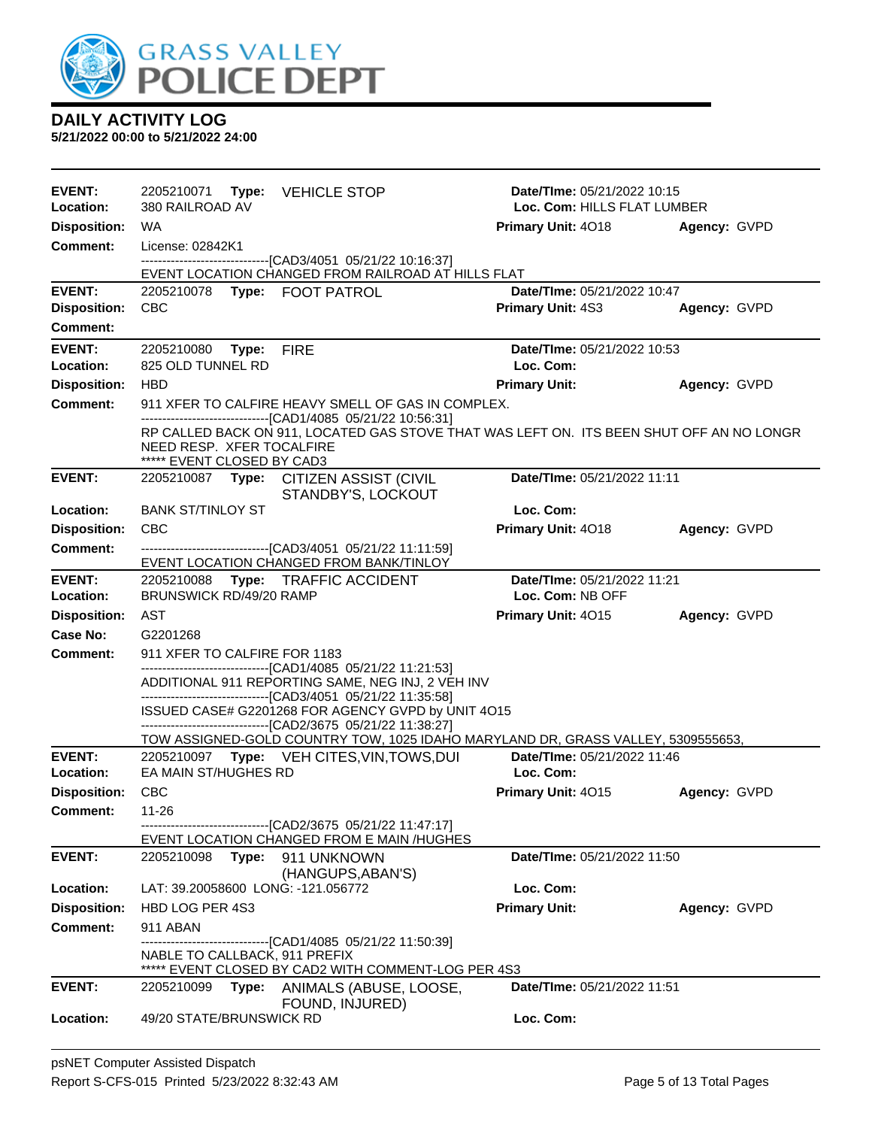

| <b>EVENT:</b><br>Location: | 2205210071 Type: VEHICLE STOP<br>380 RAILROAD AV                                                                                                                                                                    | Date/TIme: 05/21/2022 10:15<br>Loc. Com: HILLS FLAT LUMBER |  |
|----------------------------|---------------------------------------------------------------------------------------------------------------------------------------------------------------------------------------------------------------------|------------------------------------------------------------|--|
| <b>Disposition:</b>        | WA                                                                                                                                                                                                                  | Primary Unit: 4018<br>Agency: GVPD                         |  |
| <b>Comment:</b>            | License: 02842K1                                                                                                                                                                                                    |                                                            |  |
|                            | --------------------------------[CAD3/4051 05/21/22 10:16:37]<br>EVENT LOCATION CHANGED FROM RAILROAD AT HILLS FLAT                                                                                                 |                                                            |  |
| <b>EVENT:</b>              | 2205210078 Type: FOOT PATROL                                                                                                                                                                                        | Date/TIme: 05/21/2022 10:47                                |  |
| <b>Disposition:</b>        | <b>CBC</b>                                                                                                                                                                                                          | <b>Primary Unit: 4S3</b><br>Agency: GVPD                   |  |
| Comment:                   |                                                                                                                                                                                                                     |                                                            |  |
| <b>EVENT:</b>              | 2205210080<br>Type:<br><b>FIRE</b>                                                                                                                                                                                  | Date/TIme: 05/21/2022 10:53                                |  |
| Location:                  | 825 OLD TUNNEL RD                                                                                                                                                                                                   | Loc. Com:                                                  |  |
| <b>Disposition:</b>        | <b>HBD</b>                                                                                                                                                                                                          | <b>Primary Unit:</b><br>Agency: GVPD                       |  |
| <b>Comment:</b>            | 911 XFER TO CALFIRE HEAVY SMELL OF GAS IN COMPLEX.                                                                                                                                                                  |                                                            |  |
|                            | -------------------------------[CAD1/4085 05/21/22 10:56:31]<br>RP CALLED BACK ON 911, LOCATED GAS STOVE THAT WAS LEFT ON. ITS BEEN SHUT OFF AN NO LONGR<br>NEED RESP. XFER TOCALFIRE<br>***** EVENT CLOSED BY CAD3 |                                                            |  |
| <b>EVENT:</b>              | 2205210087 Type: CITIZEN ASSIST (CIVIL<br>STANDBY'S, LOCKOUT                                                                                                                                                        | Date/TIme: 05/21/2022 11:11                                |  |
| Location:                  | <b>BANK ST/TINLOY ST</b>                                                                                                                                                                                            | Loc. Com:                                                  |  |
| <b>Disposition:</b>        | <b>CBC</b>                                                                                                                                                                                                          | Primary Unit: 4018<br>Agency: GVPD                         |  |
| <b>Comment:</b>            | -------------------------------[CAD3/4051 05/21/22 11:11:59]<br>EVENT LOCATION CHANGED FROM BANK/TINLOY                                                                                                             |                                                            |  |
| <b>EVENT:</b>              | 2205210088 Type: TRAFFIC ACCIDENT                                                                                                                                                                                   | Date/TIme: 05/21/2022 11:21                                |  |
| Location:                  | BRUNSWICK RD/49/20 RAMP                                                                                                                                                                                             | Loc. Com: NB OFF                                           |  |
| <b>Disposition:</b>        | AST                                                                                                                                                                                                                 | <b>Primary Unit: 4015</b><br>Agency: GVPD                  |  |
|                            |                                                                                                                                                                                                                     |                                                            |  |
| Case No:                   | G2201268                                                                                                                                                                                                            |                                                            |  |
| Comment:                   | 911 XFER TO CALFIRE FOR 1183                                                                                                                                                                                        |                                                            |  |
|                            | -------------------------------[CAD1/4085 05/21/22 11:21:53]<br>ADDITIONAL 911 REPORTING SAME, NEG INJ, 2 VEH INV                                                                                                   |                                                            |  |
|                            | ------------------------------[CAD3/4051 05/21/22 11:35:58]                                                                                                                                                         |                                                            |  |
|                            | ISSUED CASE# G2201268 FOR AGENCY GVPD by UNIT 4O15                                                                                                                                                                  |                                                            |  |
|                            | -------------------------------[CAD2/3675 05/21/22 11:38:27]<br>TOW ASSIGNED-GOLD COUNTRY TOW, 1025 IDAHO MARYLAND DR, GRASS VALLEY, 5309555653,                                                                    |                                                            |  |
| <b>EVENT:</b>              | 2205210097 Type: VEH CITES, VIN, TOWS, DUI                                                                                                                                                                          | Date/TIme: 05/21/2022 11:46                                |  |
| Location:                  | EA MAIN ST/HUGHES RD                                                                                                                                                                                                | Loc. Com:                                                  |  |
| <b>Disposition:</b>        | <b>CBC</b>                                                                                                                                                                                                          | Primary Unit: 4015<br>Agency: GVPD                         |  |
| Comment:                   | 11-26                                                                                                                                                                                                               |                                                            |  |
|                            | ------------------------------[CAD2/3675_05/21/22 11:47:17]<br>EVENT LOCATION CHANGED FROM E MAIN /HUGHES                                                                                                           |                                                            |  |
| <b>EVENT:</b>              | 2205210098 Type: 911 UNKNOWN<br>(HANGUPS, ABAN'S)                                                                                                                                                                   | Date/TIme: 05/21/2022 11:50                                |  |
| Location:                  | LAT: 39.20058600 LONG: -121.056772                                                                                                                                                                                  | Loc. Com:                                                  |  |
| <b>Disposition:</b>        | HBD LOG PER 4S3                                                                                                                                                                                                     | <b>Primary Unit:</b><br>Agency: GVPD                       |  |
| <b>Comment:</b>            | 911 ABAN                                                                                                                                                                                                            |                                                            |  |
|                            | ------------------[CAD1/4085 05/21/22 11:50:39]<br>NABLE TO CALLBACK, 911 PREFIX                                                                                                                                    |                                                            |  |
| <b>EVENT:</b>              | ***** EVENT CLOSED BY CAD2 WITH COMMENT-LOG PER 4S3<br>2205210099                                                                                                                                                   | <b>Date/Time: 05/21/2022 11:51</b>                         |  |
|                            | Type: ANIMALS (ABUSE, LOOSE,<br>FOUND, INJURED)                                                                                                                                                                     |                                                            |  |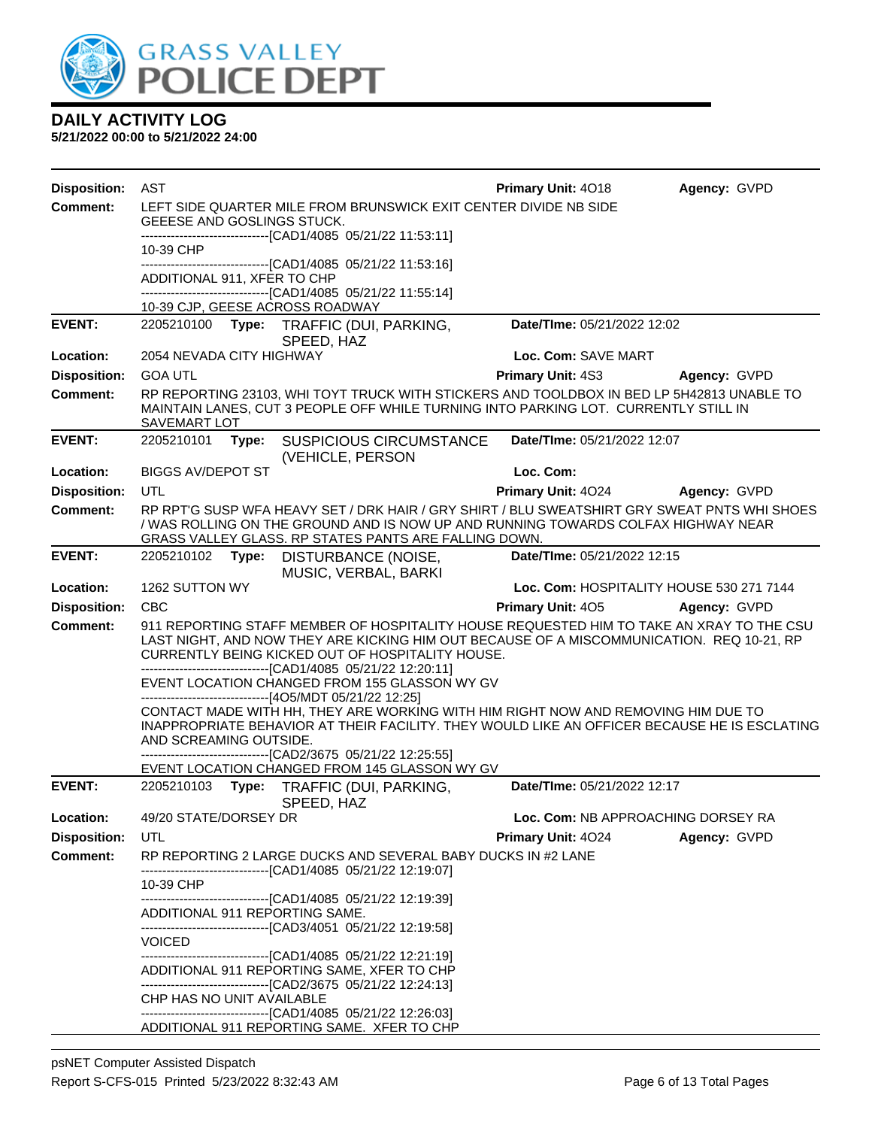

| <b>Disposition:</b> | AST                         |       |                                                                                                                                                                  | Primary Unit: 4018          | Agency: GVPD                                                                                                                                                                          |
|---------------------|-----------------------------|-------|------------------------------------------------------------------------------------------------------------------------------------------------------------------|-----------------------------|---------------------------------------------------------------------------------------------------------------------------------------------------------------------------------------|
| <b>Comment:</b>     |                             |       | LEFT SIDE QUARTER MILE FROM BRUNSWICK EXIT CENTER DIVIDE NB SIDE                                                                                                 |                             |                                                                                                                                                                                       |
|                     | GEEESE AND GOSLINGS STUCK.  |       |                                                                                                                                                                  |                             |                                                                                                                                                                                       |
|                     | 10-39 CHP                   |       | -------------------------[CAD1/4085 05/21/22 11:53:11]                                                                                                           |                             |                                                                                                                                                                                       |
|                     |                             |       | -------------------[CAD1/4085 05/21/22 11:53:16]                                                                                                                 |                             |                                                                                                                                                                                       |
|                     | ADDITIONAL 911, XFER TO CHP |       | -------------------------------[CAD1/4085 05/21/22 11:55:14]                                                                                                     |                             |                                                                                                                                                                                       |
|                     |                             |       | 10-39 CJP, GEESE ACROSS ROADWAY                                                                                                                                  |                             |                                                                                                                                                                                       |
| <b>EVENT:</b>       |                             |       | 2205210100 Type: TRAFFIC (DUI, PARKING,                                                                                                                          | Date/TIme: 05/21/2022 12:02 |                                                                                                                                                                                       |
| Location:           | 2054 NEVADA CITY HIGHWAY    |       | SPEED, HAZ                                                                                                                                                       | Loc. Com: SAVE MART         |                                                                                                                                                                                       |
| <b>Disposition:</b> | <b>GOA UTL</b>              |       |                                                                                                                                                                  | Primary Unit: 4S3           | Agency: GVPD                                                                                                                                                                          |
| <b>Comment:</b>     |                             |       |                                                                                                                                                                  |                             | RP REPORTING 23103, WHI TOYT TRUCK WITH STICKERS AND TOOLDBOX IN BED LP 5H42813 UNABLE TO                                                                                             |
|                     | SAVEMART LOT                |       | MAINTAIN LANES, CUT 3 PEOPLE OFF WHILE TURNING INTO PARKING LOT. CURRENTLY STILL IN                                                                              |                             |                                                                                                                                                                                       |
| <b>EVENT:</b>       | 2205210101                  | Type: | <b>SUSPICIOUS CIRCUMSTANCE</b><br>(VEHICLE, PERSON                                                                                                               | Date/TIme: 05/21/2022 12:07 |                                                                                                                                                                                       |
| Location:           | <b>BIGGS AV/DEPOT ST</b>    |       |                                                                                                                                                                  | Loc. Com:                   |                                                                                                                                                                                       |
| <b>Disposition:</b> | UTL                         |       |                                                                                                                                                                  | Primary Unit: 4024          | Agency: GVPD                                                                                                                                                                          |
| <b>Comment:</b>     |                             |       | / WAS ROLLING ON THE GROUND AND IS NOW UP AND RUNNING TOWARDS COLFAX HIGHWAY NEAR<br>GRASS VALLEY GLASS. RP STATES PANTS ARE FALLING DOWN.                       |                             | RP RPT'G SUSP WFA HEAVY SET / DRK HAIR / GRY SHIRT / BLU SWEATSHIRT GRY SWEAT PNTS WHI SHOES                                                                                          |
| <b>EVENT:</b>       | 2205210102                  | Type: | DISTURBANCE (NOISE,<br>MUSIC, VERBAL, BARKI                                                                                                                      | Date/TIme: 05/21/2022 12:15 |                                                                                                                                                                                       |
| Location:           | 1262 SUTTON WY              |       |                                                                                                                                                                  |                             | Loc. Com: HOSPITALITY HOUSE 530 271 7144                                                                                                                                              |
| <b>Disposition:</b> | <b>CBC</b>                  |       |                                                                                                                                                                  | Primary Unit: 405           | Agency: GVPD                                                                                                                                                                          |
| <b>Comment:</b>     |                             |       | CURRENTLY BEING KICKED OUT OF HOSPITALITY HOUSE.<br>-------------------------------[CAD1/4085 05/21/22 12:20:11]                                                 |                             | 911 REPORTING STAFF MEMBER OF HOSPITALITY HOUSE REQUESTED HIM TO TAKE AN XRAY TO THE CSU<br>LAST NIGHT, AND NOW THEY ARE KICKING HIM OUT BECAUSE OF A MISCOMMUNICATION. REQ 10-21, RP |
|                     |                             |       | EVENT LOCATION CHANGED FROM 155 GLASSON WY GV<br>------------------------------[4O5/MDT 05/21/22 12:25]                                                          |                             |                                                                                                                                                                                       |
|                     | AND SCREAMING OUTSIDE.      |       | CONTACT MADE WITH HH, THEY ARE WORKING WITH HIM RIGHT NOW AND REMOVING HIM DUE TO                                                                                |                             | INAPPROPRIATE BEHAVIOR AT THEIR FACILITY. THEY WOULD LIKE AN OFFICER BECAUSE HE IS ESCLATING                                                                                          |
|                     |                             |       | -------------------------------[CAD2/3675 05/21/22 12:25:55]<br>EVENT LOCATION CHANGED FROM 145 GLASSON WY GV                                                    |                             |                                                                                                                                                                                       |
| <b>EVENT:</b>       |                             |       | 2205210103 Type: TRAFFIC (DUI, PARKING,<br>SPEED, HAZ                                                                                                            | Date/TIme: 05/21/2022 12:17 |                                                                                                                                                                                       |
| Location:           | 49/20 STATE/DORSEY DR       |       |                                                                                                                                                                  |                             | Loc. Com: NB APPROACHING DORSEY RA                                                                                                                                                    |
| <b>Disposition:</b> | UTL                         |       |                                                                                                                                                                  | Primary Unit: 4024          | Agency: GVPD                                                                                                                                                                          |
| <b>Comment:</b>     |                             |       | RP REPORTING 2 LARGE DUCKS AND SEVERAL BABY DUCKS IN #2 LANE<br>-------------------------------[CAD1/4085 05/21/22 12:19:07]                                     |                             |                                                                                                                                                                                       |
|                     | 10-39 CHP                   |       |                                                                                                                                                                  |                             |                                                                                                                                                                                       |
|                     |                             |       | --------------------------------[CAD1/4085 05/21/22 12:19:39]<br>ADDITIONAL 911 REPORTING SAME.<br>--------------------------------[CAD3/4051 05/21/22 12:19:58] |                             |                                                                                                                                                                                       |
|                     | <b>VOICED</b>               |       | --------------------------------[CAD1/4085 05/21/22 12:21:19]                                                                                                    |                             |                                                                                                                                                                                       |
|                     |                             |       | ADDITIONAL 911 REPORTING SAME, XFER TO CHP<br>-------------------------------[CAD2/3675 05/21/22 12:24:13]                                                       |                             |                                                                                                                                                                                       |
|                     | CHP HAS NO UNIT AVAILABLE   |       | -------------------------------[CAD1/4085 05/21/22 12:26:03]                                                                                                     |                             |                                                                                                                                                                                       |
|                     |                             |       | ADDITIONAL 911 REPORTING SAME. XFER TO CHP                                                                                                                       |                             |                                                                                                                                                                                       |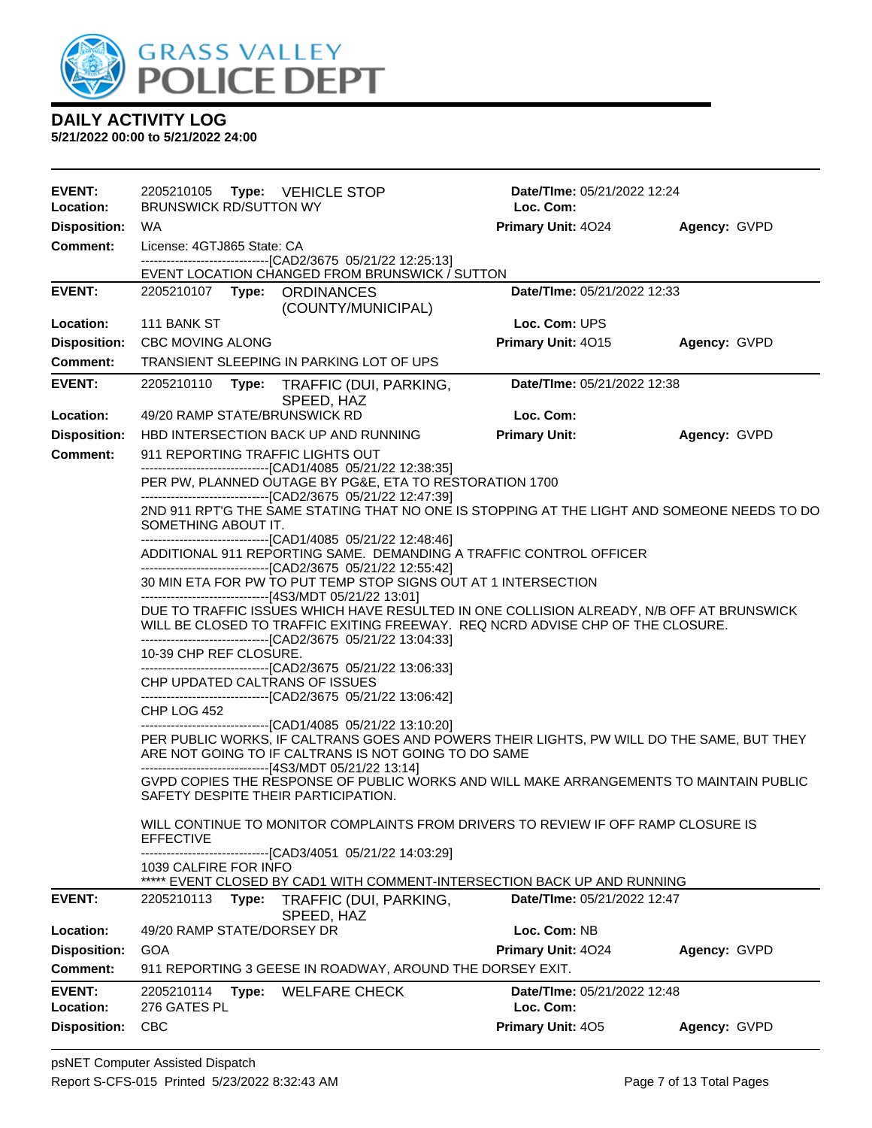

| <b>EVENT:</b>                   | 2205210105 Type: VEHICLE STOP                                                                                                                                                                       |                                                                                                                                                                                                              | <b>Date/Time: 05/21/2022 12:24</b> |              |  |
|---------------------------------|-----------------------------------------------------------------------------------------------------------------------------------------------------------------------------------------------------|--------------------------------------------------------------------------------------------------------------------------------------------------------------------------------------------------------------|------------------------------------|--------------|--|
| Location:                       | <b>BRUNSWICK RD/SUTTON WY</b>                                                                                                                                                                       |                                                                                                                                                                                                              | Loc. Com:                          |              |  |
| <b>Disposition:</b>             | <b>WA</b>                                                                                                                                                                                           |                                                                                                                                                                                                              | <b>Primary Unit: 4024</b>          | Agency: GVPD |  |
| <b>Comment:</b>                 | License: 4GTJ865 State: CA                                                                                                                                                                          | --------------------------------[CAD2/3675 05/21/22 12:25:13]                                                                                                                                                |                                    |              |  |
|                                 |                                                                                                                                                                                                     | EVENT LOCATION CHANGED FROM BRUNSWICK / SUTTON                                                                                                                                                               |                                    |              |  |
| <b>EVENT:</b>                   | 2205210107 Type: ORDINANCES                                                                                                                                                                         | (COUNTY/MUNICIPAL)                                                                                                                                                                                           | Date/TIme: 05/21/2022 12:33        |              |  |
| Location:                       | 111 BANK ST                                                                                                                                                                                         |                                                                                                                                                                                                              | Loc. Com: UPS                      |              |  |
| <b>Disposition:</b>             | <b>CBC MOVING ALONG</b>                                                                                                                                                                             |                                                                                                                                                                                                              | Primary Unit: 4015                 | Agency: GVPD |  |
| Comment:                        |                                                                                                                                                                                                     | TRANSIENT SLEEPING IN PARKING LOT OF UPS                                                                                                                                                                     |                                    |              |  |
| <b>EVENT:</b>                   | 2205210110                                                                                                                                                                                          | Type: TRAFFIC (DUI, PARKING,<br>SPEED, HAZ                                                                                                                                                                   | Date/TIme: 05/21/2022 12:38        |              |  |
| Location:                       | 49/20 RAMP STATE/BRUNSWICK RD                                                                                                                                                                       |                                                                                                                                                                                                              | Loc. Com:                          |              |  |
| <b>Disposition:</b>             |                                                                                                                                                                                                     | HBD INTERSECTION BACK UP AND RUNNING                                                                                                                                                                         | <b>Primary Unit:</b>               | Agency: GVPD |  |
| <b>Comment:</b>                 | 911 REPORTING TRAFFIC LIGHTS OUT                                                                                                                                                                    | --------------------------------[CAD1/4085 05/21/22 12:38:35]                                                                                                                                                |                                    |              |  |
|                                 |                                                                                                                                                                                                     | PER PW, PLANNED OUTAGE BY PG&E, ETA TO RESTORATION 1700<br>--------------------------------[CAD2/3675 05/21/22 12:47:39]                                                                                     |                                    |              |  |
|                                 | 2ND 911 RPT'G THE SAME STATING THAT NO ONE IS STOPPING AT THE LIGHT AND SOMEONE NEEDS TO DO<br>SOMETHING ABOUT IT.                                                                                  |                                                                                                                                                                                                              |                                    |              |  |
|                                 | -------------------------------[CAD1/4085 05/21/22 12:48:46]<br>ADDITIONAL 911 REPORTING SAME. DEMANDING A TRAFFIC CONTROL OFFICER<br>--------------------------------[CAD2/3675 05/21/22 12:55:42] |                                                                                                                                                                                                              |                                    |              |  |
|                                 | 30 MIN ETA FOR PW TO PUT TEMP STOP SIGNS OUT AT 1 INTERSECTION<br>-------------------------------[4S3/MDT 05/21/22 13:01]                                                                           |                                                                                                                                                                                                              |                                    |              |  |
|                                 |                                                                                                                                                                                                     | DUE TO TRAFFIC ISSUES WHICH HAVE RESULTED IN ONE COLLISION ALREADY, N/B OFF AT BRUNSWICK<br>WILL BE CLOSED TO TRAFFIC EXITING FREEWAY. REQ NCRD ADVISE CHP OF THE CLOSURE.                                   |                                    |              |  |
|                                 | 10-39 CHP REF CLOSURE.                                                                                                                                                                              | --------------------------------[CAD2/3675 05/21/22 13:04:33]<br>-------------------------------[CAD2/3675 05/21/22 13:06:33]                                                                                |                                    |              |  |
|                                 | CHP UPDATED CALTRANS OF ISSUES                                                                                                                                                                      | ---------------[CAD2/3675 05/21/22 13:06:42]                                                                                                                                                                 |                                    |              |  |
|                                 | CHP LOG 452                                                                                                                                                                                         | -------------------------------[CAD1/4085 05/21/22 13:10:20]                                                                                                                                                 |                                    |              |  |
|                                 |                                                                                                                                                                                                     | PER PUBLIC WORKS, IF CALTRANS GOES AND POWERS THEIR LIGHTS, PW WILL DO THE SAME, BUT THEY<br>ARE NOT GOING TO IF CALTRANS IS NOT GOING TO DO SAME<br>-------------------------------[4S3/MDT 05/21/22 13:14] |                                    |              |  |
|                                 | SAFETY DESPITE THEIR PARTICIPATION.                                                                                                                                                                 | GVPD COPIES THE RESPONSE OF PUBLIC WORKS AND WILL MAKE ARRANGEMENTS TO MAINTAIN PUBLIC                                                                                                                       |                                    |              |  |
|                                 | <b>EFFECTIVE</b>                                                                                                                                                                                    | WILL CONTINUE TO MONITOR COMPLAINTS FROM DRIVERS TO REVIEW IF OFF RAMP CLOSURE IS                                                                                                                            |                                    |              |  |
|                                 | 1039 CALFIRE FOR INFO                                                                                                                                                                               | ----------------[CAD3/4051_05/21/22 14:03:29]<br>EVENT CLOSED BY CAD1 WITH COMMENT-INTERSECTION BACK UP AND RUNNING                                                                                          |                                    |              |  |
| <b>EVENT:</b>                   | Type:<br>2205210113                                                                                                                                                                                 | TRAFFIC (DUI, PARKING,                                                                                                                                                                                       | Date/TIme: 05/21/2022 12:47        |              |  |
| Location:                       | 49/20 RAMP STATE/DORSEY DR                                                                                                                                                                          | SPEED, HAZ                                                                                                                                                                                                   | Loc. Com: NB                       |              |  |
|                                 |                                                                                                                                                                                                     |                                                                                                                                                                                                              | Primary Unit: 4024                 |              |  |
| <b>Disposition:</b><br>Comment: | GOA                                                                                                                                                                                                 | 911 REPORTING 3 GEESE IN ROADWAY, AROUND THE DORSEY EXIT.                                                                                                                                                    |                                    | Agency: GVPD |  |
| <b>EVENT:</b>                   | 2205210114<br>Type:                                                                                                                                                                                 | <b>WELFARE CHECK</b>                                                                                                                                                                                         | Date/TIme: 05/21/2022 12:48        |              |  |
| Location:                       | 276 GATES PL                                                                                                                                                                                        |                                                                                                                                                                                                              | Loc. Com:                          |              |  |
| <b>Disposition:</b>             | <b>CBC</b>                                                                                                                                                                                          |                                                                                                                                                                                                              | Primary Unit: 405                  | Agency: GVPD |  |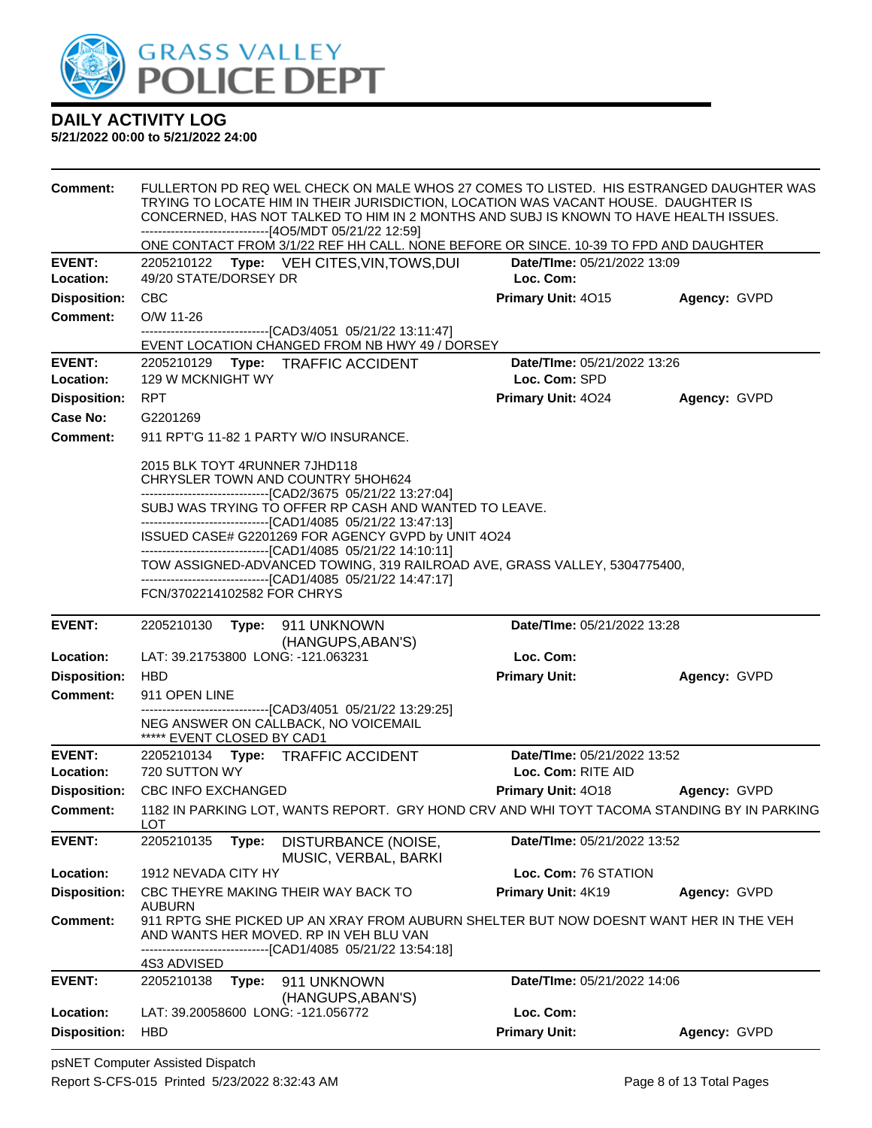

| <b>Comment:</b>                  | FULLERTON PD REQ WEL CHECK ON MALE WHOS 27 COMES TO LISTED. HIS ESTRANGED DAUGHTER WAS<br>TRYING TO LOCATE HIM IN THEIR JURISDICTION, LOCATION WAS VACANT HOUSE. DAUGHTER IS<br>CONCERNED, HAS NOT TALKED TO HIM IN 2 MONTHS AND SUBJ IS KNOWN TO HAVE HEALTH ISSUES.<br>------------------------------[4O5/MDT 05/21/22 12:59] |                                                              |                                                                                                                                                               |                                                                                       |                                                                                            |  |
|----------------------------------|---------------------------------------------------------------------------------------------------------------------------------------------------------------------------------------------------------------------------------------------------------------------------------------------------------------------------------|--------------------------------------------------------------|---------------------------------------------------------------------------------------------------------------------------------------------------------------|---------------------------------------------------------------------------------------|--------------------------------------------------------------------------------------------|--|
|                                  |                                                                                                                                                                                                                                                                                                                                 |                                                              |                                                                                                                                                               | ONE CONTACT FROM 3/1/22 REF HH CALL. NONE BEFORE OR SINCE. 10-39 TO FPD AND DAUGHTER  |                                                                                            |  |
| <b>EVENT:</b>                    |                                                                                                                                                                                                                                                                                                                                 |                                                              | 2205210122 Type: VEH CITES, VIN, TOWS, DUI                                                                                                                    | Date/TIme: 05/21/2022 13:09                                                           |                                                                                            |  |
| Location:                        | 49/20 STATE/DORSEY DR                                                                                                                                                                                                                                                                                                           |                                                              |                                                                                                                                                               | Loc. Com:                                                                             |                                                                                            |  |
| <b>Disposition:</b>              | <b>CBC</b>                                                                                                                                                                                                                                                                                                                      |                                                              |                                                                                                                                                               | Primary Unit: 4015                                                                    | Agency: GVPD                                                                               |  |
| <b>Comment:</b>                  | O/W 11-26                                                                                                                                                                                                                                                                                                                       |                                                              |                                                                                                                                                               |                                                                                       |                                                                                            |  |
|                                  |                                                                                                                                                                                                                                                                                                                                 |                                                              | -------------------------------[CAD3/4051 05/21/22 13:11:47]                                                                                                  |                                                                                       |                                                                                            |  |
|                                  |                                                                                                                                                                                                                                                                                                                                 |                                                              | EVENT LOCATION CHANGED FROM NB HWY 49 / DORSEY                                                                                                                |                                                                                       |                                                                                            |  |
| <b>EVENT:</b><br>Location:       | 129 W MCKNIGHT WY                                                                                                                                                                                                                                                                                                               |                                                              | 2205210129 Type: TRAFFIC ACCIDENT                                                                                                                             | Date/TIme: 05/21/2022 13:26<br>Loc. Com: SPD                                          |                                                                                            |  |
|                                  |                                                                                                                                                                                                                                                                                                                                 |                                                              |                                                                                                                                                               |                                                                                       |                                                                                            |  |
| <b>Disposition:</b>              | <b>RPT</b>                                                                                                                                                                                                                                                                                                                      |                                                              |                                                                                                                                                               | Primary Unit: 4024                                                                    | Agency: GVPD                                                                               |  |
| Case No:                         | G2201269                                                                                                                                                                                                                                                                                                                        |                                                              |                                                                                                                                                               |                                                                                       |                                                                                            |  |
| <b>Comment:</b>                  |                                                                                                                                                                                                                                                                                                                                 |                                                              | 911 RPT'G 11-82 1 PARTY W/O INSURANCE.                                                                                                                        |                                                                                       |                                                                                            |  |
|                                  | 2015 BLK TOYT 4RUNNER 7JHD118                                                                                                                                                                                                                                                                                                   |                                                              | CHRYSLER TOWN AND COUNTRY 5HOH624<br>----------------------------------[CAD2/3675 05/21/22 13:27:04]<br>SUBJ WAS TRYING TO OFFER RP CASH AND WANTED TO LEAVE. |                                                                                       |                                                                                            |  |
|                                  |                                                                                                                                                                                                                                                                                                                                 |                                                              | -------------------------------[CAD1/4085 05/21/22 13:47:13]<br>ISSUED CASE# G2201269 FOR AGENCY GVPD by UNIT 4O24                                            |                                                                                       |                                                                                            |  |
|                                  | -------------------------------[CAD1/4085 05/21/22 14:10:11]<br>TOW ASSIGNED-ADVANCED TOWING, 319 RAILROAD AVE, GRASS VALLEY, 5304775400,                                                                                                                                                                                       |                                                              |                                                                                                                                                               |                                                                                       |                                                                                            |  |
|                                  |                                                                                                                                                                                                                                                                                                                                 | -------------------------------[CAD1/4085 05/21/22 14:47:17] |                                                                                                                                                               |                                                                                       |                                                                                            |  |
|                                  | FCN/3702214102582 FOR CHRYS                                                                                                                                                                                                                                                                                                     |                                                              |                                                                                                                                                               |                                                                                       |                                                                                            |  |
|                                  |                                                                                                                                                                                                                                                                                                                                 |                                                              |                                                                                                                                                               |                                                                                       |                                                                                            |  |
| <b>EVENT:</b>                    | 2205210130                                                                                                                                                                                                                                                                                                                      |                                                              | Type: 911 UNKNOWN<br>(HANGUPS, ABAN'S)                                                                                                                        | Date/TIme: 05/21/2022 13:28                                                           |                                                                                            |  |
| Location:                        | LAT: 39.21753800 LONG: -121.063231                                                                                                                                                                                                                                                                                              |                                                              |                                                                                                                                                               | Loc. Com:                                                                             |                                                                                            |  |
| <b>Disposition:</b>              | <b>HBD</b>                                                                                                                                                                                                                                                                                                                      |                                                              |                                                                                                                                                               | <b>Primary Unit:</b>                                                                  | Agency: GVPD                                                                               |  |
| Comment:                         | 911 OPEN LINE                                                                                                                                                                                                                                                                                                                   |                                                              |                                                                                                                                                               |                                                                                       |                                                                                            |  |
|                                  | ***** EVENT CLOSED BY CAD1                                                                                                                                                                                                                                                                                                      |                                                              | -------------------------------[CAD3/4051_05/21/22 13:29:25]<br>NEG ANSWER ON CALLBACK, NO VOICEMAIL                                                          |                                                                                       |                                                                                            |  |
| <b>EVENT:</b>                    |                                                                                                                                                                                                                                                                                                                                 |                                                              | 2205210134 Type: TRAFFIC ACCIDENT                                                                                                                             | Date/TIme: 05/21/2022 13:52                                                           |                                                                                            |  |
| Location:                        | 720 SUTTON WY                                                                                                                                                                                                                                                                                                                   |                                                              |                                                                                                                                                               | Loc. Com: RITE AID                                                                    |                                                                                            |  |
| <b>Disposition:</b>              | <b>CBC INFO EXCHANGED</b>                                                                                                                                                                                                                                                                                                       |                                                              |                                                                                                                                                               | <b>Primary Unit: 4018</b>                                                             | <b>Agency: GVPD</b>                                                                        |  |
| <b>Comment:</b>                  | <b>LOT</b>                                                                                                                                                                                                                                                                                                                      |                                                              |                                                                                                                                                               |                                                                                       | 1182 IN PARKING LOT, WANTS REPORT. GRY HOND CRV AND WHI TOYT TACOMA STANDING BY IN PARKING |  |
| <b>EVENT:</b>                    | 2205210135                                                                                                                                                                                                                                                                                                                      | Type:                                                        | DISTURBANCE (NOISE,<br>MUSIC, VERBAL, BARKI                                                                                                                   | Date/TIme: 05/21/2022 13:52                                                           |                                                                                            |  |
| Location:                        | 1912 NEVADA CITY HY                                                                                                                                                                                                                                                                                                             |                                                              |                                                                                                                                                               | Loc. Com: 76 STATION                                                                  |                                                                                            |  |
| <b>Disposition:</b>              | AUBURN                                                                                                                                                                                                                                                                                                                          |                                                              | CBC THEYRE MAKING THEIR WAY BACK TO                                                                                                                           | Primary Unit: 4K19                                                                    | Agency: GVPD                                                                               |  |
| <b>Comment:</b>                  |                                                                                                                                                                                                                                                                                                                                 |                                                              | AND WANTS HER MOVED. RP IN VEH BLU VAN<br>-------------[CAD1/4085_05/21/22 13:54:18]                                                                          | 911 RPTG SHE PICKED UP AN XRAY FROM AUBURN SHELTER BUT NOW DOESNT WANT HER IN THE VEH |                                                                                            |  |
| <b>EVENT:</b>                    | 4S3 ADVISED<br>2205210138                                                                                                                                                                                                                                                                                                       | Type:                                                        | 911 UNKNOWN                                                                                                                                                   | Date/TIme: 05/21/2022 14:06                                                           |                                                                                            |  |
|                                  |                                                                                                                                                                                                                                                                                                                                 |                                                              | (HANGUPS, ABAN'S)                                                                                                                                             |                                                                                       |                                                                                            |  |
| Location:<br><b>Disposition:</b> | LAT: 39.20058600 LONG: -121.056772                                                                                                                                                                                                                                                                                              |                                                              |                                                                                                                                                               | Loc. Com:<br><b>Primary Unit:</b>                                                     |                                                                                            |  |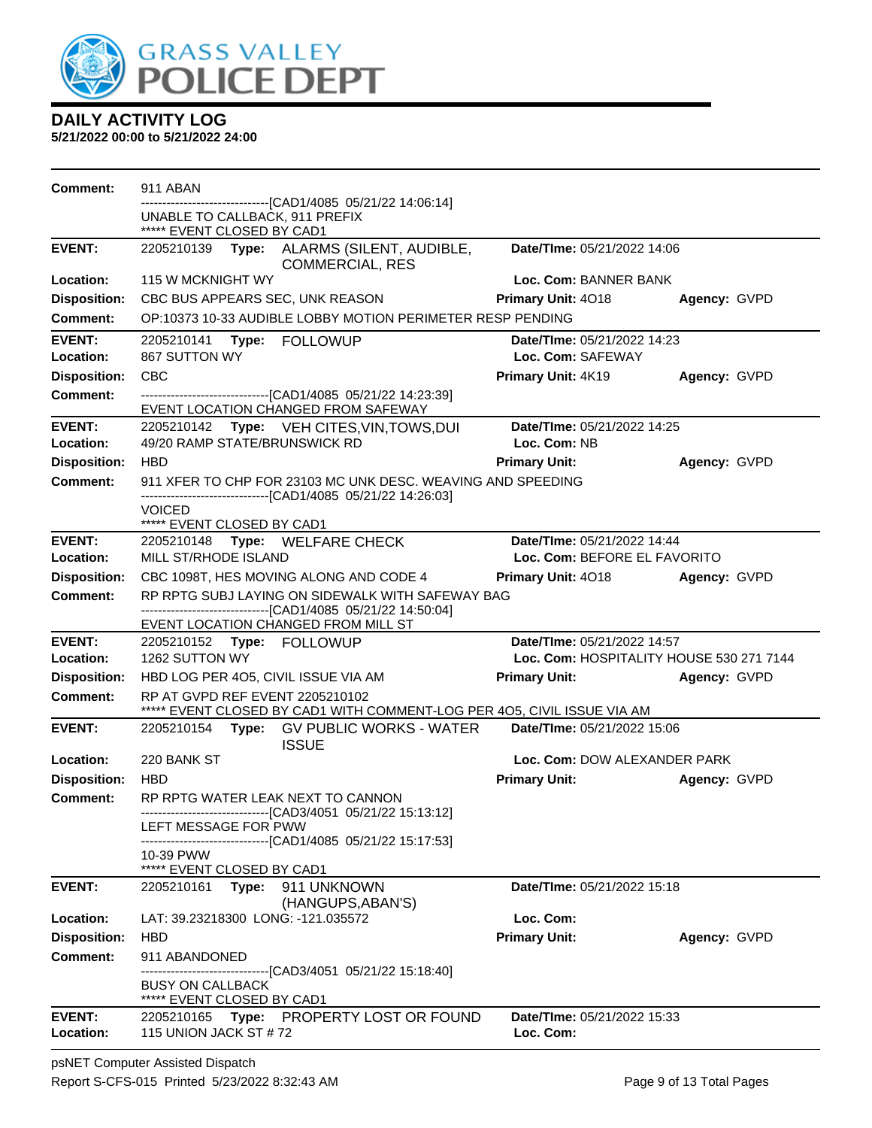

**5/21/2022 00:00 to 5/21/2022 24:00**

| <b>Comment:</b>            | 911 ABAN                                                                                                                                                |                                                  |              |
|----------------------------|---------------------------------------------------------------------------------------------------------------------------------------------------------|--------------------------------------------------|--------------|
|                            | ----------------[CAD1/4085 05/21/22 14:06:14]<br>UNABLE TO CALLBACK, 911 PREFIX<br>***** EVENT CLOSED BY CAD1                                           |                                                  |              |
| <b>EVENT:</b>              | 2205210139 Type: ALARMS (SILENT, AUDIBLE,<br><b>COMMERCIAL, RES</b>                                                                                     | Date/TIme: 05/21/2022 14:06                      |              |
| Location:                  | 115 W MCKNIGHT WY                                                                                                                                       | Loc. Com: BANNER BANK                            |              |
| <b>Disposition:</b>        | CBC BUS APPEARS SEC, UNK REASON                                                                                                                         | <b>Primary Unit: 4018</b>                        | Agency: GVPD |
| <b>Comment:</b>            | OP:10373 10-33 AUDIBLE LOBBY MOTION PERIMETER RESP PENDING                                                                                              |                                                  |              |
| <b>EVENT:</b><br>Location: | 2205210141<br>Type: FOLLOWUP<br>867 SUTTON WY                                                                                                           | Date/TIme: 05/21/2022 14:23<br>Loc. Com: SAFEWAY |              |
| <b>Disposition:</b>        | <b>CBC</b>                                                                                                                                              | Primary Unit: 4K19                               | Agency: GVPD |
| <b>Comment:</b>            | -------------------------------[CAD1/4085 05/21/22 14:23:39]<br>EVENT LOCATION CHANGED FROM SAFEWAY                                                     |                                                  |              |
| <b>EVENT:</b>              | 2205210142 Type: VEH CITES, VIN, TOWS, DUI                                                                                                              | Date/TIme: 05/21/2022 14:25                      |              |
| Location:                  | 49/20 RAMP STATE/BRUNSWICK RD                                                                                                                           | Loc. Com: NB                                     |              |
| <b>Disposition:</b>        | <b>HBD</b>                                                                                                                                              | <b>Primary Unit:</b>                             | Agency: GVPD |
| <b>Comment:</b>            | 911 XFER TO CHP FOR 23103 MC UNK DESC. WEAVING AND SPEEDING<br>------------------------------[CAD1/4085 05/21/22 14:26:03]                              |                                                  |              |
|                            | <b>VOICED</b><br>***** EVENT CLOSED BY CAD1                                                                                                             |                                                  |              |
| <b>EVENT:</b>              | 2205210148 Type: WELFARE CHECK                                                                                                                          | Date/TIme: 05/21/2022 14:44                      |              |
| Location:                  | MILL ST/RHODE ISLAND                                                                                                                                    | Loc. Com: BEFORE EL FAVORITO                     |              |
| <b>Disposition:</b>        | CBC 1098T, HES MOVING ALONG AND CODE 4                                                                                                                  | Primary Unit: 4018                               | Agency: GVPD |
| <b>Comment:</b>            | RP RPTG SUBJ LAYING ON SIDEWALK WITH SAFEWAY BAG<br>-------------------------------[CAD1/4085 05/21/22 14:50:04]<br>EVENT LOCATION CHANGED FROM MILL ST |                                                  |              |
| <b>EVENT:</b>              | 2205210152 Type: FOLLOWUP                                                                                                                               | Date/TIme: 05/21/2022 14:57                      |              |
| Location:                  | 1262 SUTTON WY                                                                                                                                          | Loc. Com: HOSPITALITY HOUSE 530 271 7144         |              |
| <b>Disposition:</b>        | HBD LOG PER 405, CIVIL ISSUE VIA AM                                                                                                                     | <b>Primary Unit:</b>                             | Agency: GVPD |
| <b>Comment:</b>            | RP AT GVPD REF EVENT 2205210102<br>***** EVENT CLOSED BY CAD1 WITH COMMENT-LOG PER 405, CIVIL ISSUE VIA AM                                              |                                                  |              |
| <b>EVENT:</b>              | 2205210154 Type: GV PUBLIC WORKS - WATER<br><b>ISSUE</b>                                                                                                | Date/TIme: 05/21/2022 15:06                      |              |
| Location:                  | 220 BANK ST                                                                                                                                             | Loc. Com: DOW ALEXANDER PARK                     |              |
| <b>Disposition:</b>        | <b>HBD</b>                                                                                                                                              | <b>Primary Unit:</b>                             | Agency: GVPD |
| Comment:                   | RP RPTG WATER LEAK NEXT TO CANNON<br>-------------------------------[CAD3/4051 05/21/22 15:13:12]<br>LEFT MESSAGE FOR PWW                               |                                                  |              |
|                            | ----------------------[CAD1/4085  05/21/22 15:17:53]<br>10-39 PWW<br>***** EVENT CLOSED BY CAD1                                                         |                                                  |              |
| <b>EVENT:</b>              | 2205210161<br>Type: 911 UNKNOWN<br>(HANGUPS, ABAN'S)                                                                                                    | <b>Date/TIme: 05/21/2022 15:18</b>               |              |
| Location:                  | LAT: 39.23218300 LONG: -121.035572                                                                                                                      | Loc. Com:                                        |              |
| <b>Disposition:</b>        | <b>HBD</b>                                                                                                                                              | <b>Primary Unit:</b>                             | Agency: GVPD |
| Comment:                   | 911 ABANDONED                                                                                                                                           |                                                  |              |
|                            | -------------------------[CAD3/4051 05/21/22 15:18:40]<br><b>BUSY ON CALLBACK</b><br>***** EVENT CLOSED BY CAD1                                         |                                                  |              |
| <b>EVENT:</b><br>Location: | 2205210165 Type: PROPERTY LOST OR FOUND<br>115 UNION JACK ST #72                                                                                        | Date/TIme: 05/21/2022 15:33<br>Loc. Com:         |              |

psNET Computer Assisted Dispatch Report S-CFS-015 Printed 5/23/2022 8:32:43 AM Page 9 of 13 Total Pages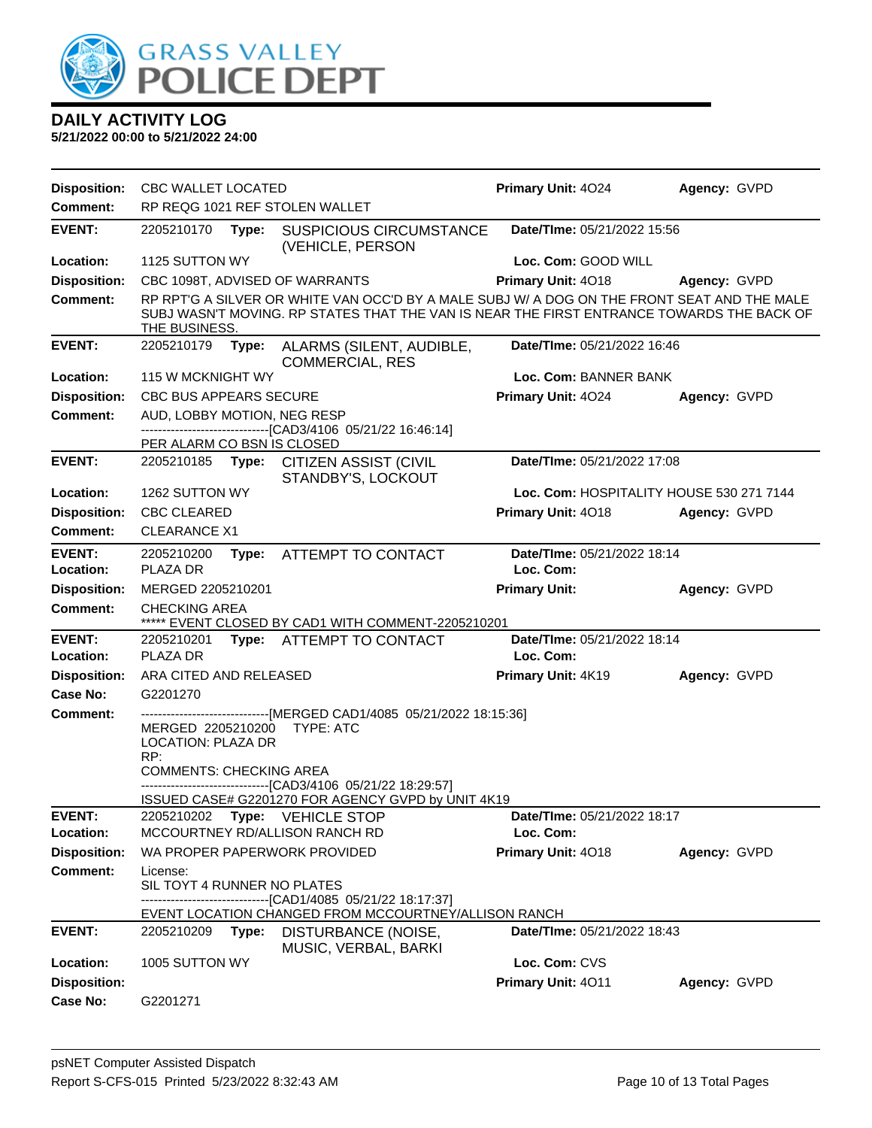

| <b>Disposition:</b> | <b>CBC WALLET LOCATED</b>                                 |       |                                                                                                                                                                                         | Primary Unit: 4024                       | Agency: GVPD |
|---------------------|-----------------------------------------------------------|-------|-----------------------------------------------------------------------------------------------------------------------------------------------------------------------------------------|------------------------------------------|--------------|
| <b>Comment:</b>     |                                                           |       | RP REQG 1021 REF STOLEN WALLET                                                                                                                                                          |                                          |              |
| <b>EVENT:</b>       | 2205210170                                                | Type: | <b>SUSPICIOUS CIRCUMSTANCE</b><br>(VEHICLE, PERSON                                                                                                                                      | Date/TIme: 05/21/2022 15:56              |              |
| Location:           | 1125 SUTTON WY                                            |       |                                                                                                                                                                                         | Loc. Com: GOOD WILL                      |              |
| <b>Disposition:</b> |                                                           |       | CBC 1098T, ADVISED OF WARRANTS                                                                                                                                                          | Primary Unit: 4018                       | Agency: GVPD |
| <b>Comment:</b>     | THE BUSINESS.                                             |       | RP RPTG A SILVER OR WHITE VAN OCC'D BY A MALE SUBJ W/ A DOG ON THE FRONT SEAT AND THE MALE<br>SUBJ WASN'T MOVING. RP STATES THAT THE VAN IS NEAR THE FIRST ENTRANCE TOWARDS THE BACK OF |                                          |              |
| <b>EVENT:</b>       | 2205210179                                                | Type: | ALARMS (SILENT, AUDIBLE,<br><b>COMMERCIAL, RES</b>                                                                                                                                      | Date/TIme: 05/21/2022 16:46              |              |
| Location:           | 115 W MCKNIGHT WY                                         |       |                                                                                                                                                                                         | Loc. Com: BANNER BANK                    |              |
| <b>Disposition:</b> | <b>CBC BUS APPEARS SECURE</b>                             |       |                                                                                                                                                                                         | Primary Unit: 4024                       | Agency: GVPD |
| Comment:            | AUD, LOBBY MOTION, NEG RESP<br>PER ALARM CO BSN IS CLOSED |       | -------------------------------[CAD3/4106_05/21/22 16:46:14]                                                                                                                            |                                          |              |
| <b>EVENT:</b>       | 2205210185 Type:                                          |       | <b>CITIZEN ASSIST (CIVIL</b><br>STANDBY'S, LOCKOUT                                                                                                                                      | Date/TIme: 05/21/2022 17:08              |              |
| Location:           | 1262 SUTTON WY                                            |       |                                                                                                                                                                                         | Loc. Com: HOSPITALITY HOUSE 530 271 7144 |              |
| <b>Disposition:</b> | <b>CBC CLEARED</b>                                        |       |                                                                                                                                                                                         | Primary Unit: 4018                       | Agency: GVPD |
| <b>Comment:</b>     | <b>CLEARANCE X1</b>                                       |       |                                                                                                                                                                                         |                                          |              |
| <b>EVENT:</b>       | 2205210200                                                |       | Type: ATTEMPT TO CONTACT                                                                                                                                                                | Date/TIme: 05/21/2022 18:14              |              |
| Location:           | PLAZA DR                                                  |       |                                                                                                                                                                                         | Loc. Com:                                |              |
| <b>Disposition:</b> | MERGED 2205210201                                         |       |                                                                                                                                                                                         | <b>Primary Unit:</b>                     | Agency: GVPD |
| <b>Comment:</b>     | <b>CHECKING AREA</b>                                      |       | ***** EVENT CLOSED BY CAD1 WITH COMMENT-2205210201                                                                                                                                      |                                          |              |
| <b>EVENT:</b>       | 2205210201                                                |       | Type: ATTEMPT TO CONTACT                                                                                                                                                                | Date/TIme: 05/21/2022 18:14              |              |
| Location:           | PLAZA DR                                                  |       |                                                                                                                                                                                         | Loc. Com:                                |              |
| <b>Disposition:</b> | ARA CITED AND RELEASED                                    |       |                                                                                                                                                                                         | Primary Unit: 4K19                       | Agency: GVPD |
| Case No:            | G2201270                                                  |       |                                                                                                                                                                                         |                                          |              |
| Comment:            | MERGED 2205210200<br><b>LOCATION: PLAZA DR</b><br>RP:     |       | ------------------------------[MERGED CAD1/4085 05/21/2022 18:15:36]<br><b>TYPE: ATC</b>                                                                                                |                                          |              |
|                     | <b>COMMENTS: CHECKING AREA</b>                            |       | -------------------------------[CAD3/4106 05/21/22 18:29:57]                                                                                                                            |                                          |              |
| <b>EVENT:</b>       |                                                           |       | ISSUED CASE# G2201270 FOR AGENCY GVPD by UNIT 4K19                                                                                                                                      |                                          |              |
| Location:           |                                                           |       | 2205210202 Type: VEHICLE STOP<br>MCCOURTNEY RD/ALLISON RANCH RD                                                                                                                         | Date/TIme: 05/21/2022 18:17<br>Loc. Com: |              |
| <b>Disposition:</b> |                                                           |       | WA PROPER PAPERWORK PROVIDED                                                                                                                                                            | Primary Unit: 4018                       | Agency: GVPD |
| <b>Comment:</b>     | License:<br>SIL TOYT 4 RUNNER NO PLATES                   |       | ----------------------------[CAD1/4085 05/21/22 18:17:37]                                                                                                                               |                                          |              |
|                     |                                                           |       | EVENT LOCATION CHANGED FROM MCCOURTNEY/ALLISON RANCH                                                                                                                                    |                                          |              |
| <b>EVENT:</b>       | 2205210209                                                | Type: | DISTURBANCE (NOISE,<br>MUSIC, VERBAL, BARKI                                                                                                                                             | Date/TIme: 05/21/2022 18:43              |              |
| Location:           | 1005 SUTTON WY                                            |       |                                                                                                                                                                                         | Loc. Com: CVS                            |              |
| <b>Disposition:</b> |                                                           |       |                                                                                                                                                                                         | Primary Unit: 4011                       | Agency: GVPD |
| Case No:            | G2201271                                                  |       |                                                                                                                                                                                         |                                          |              |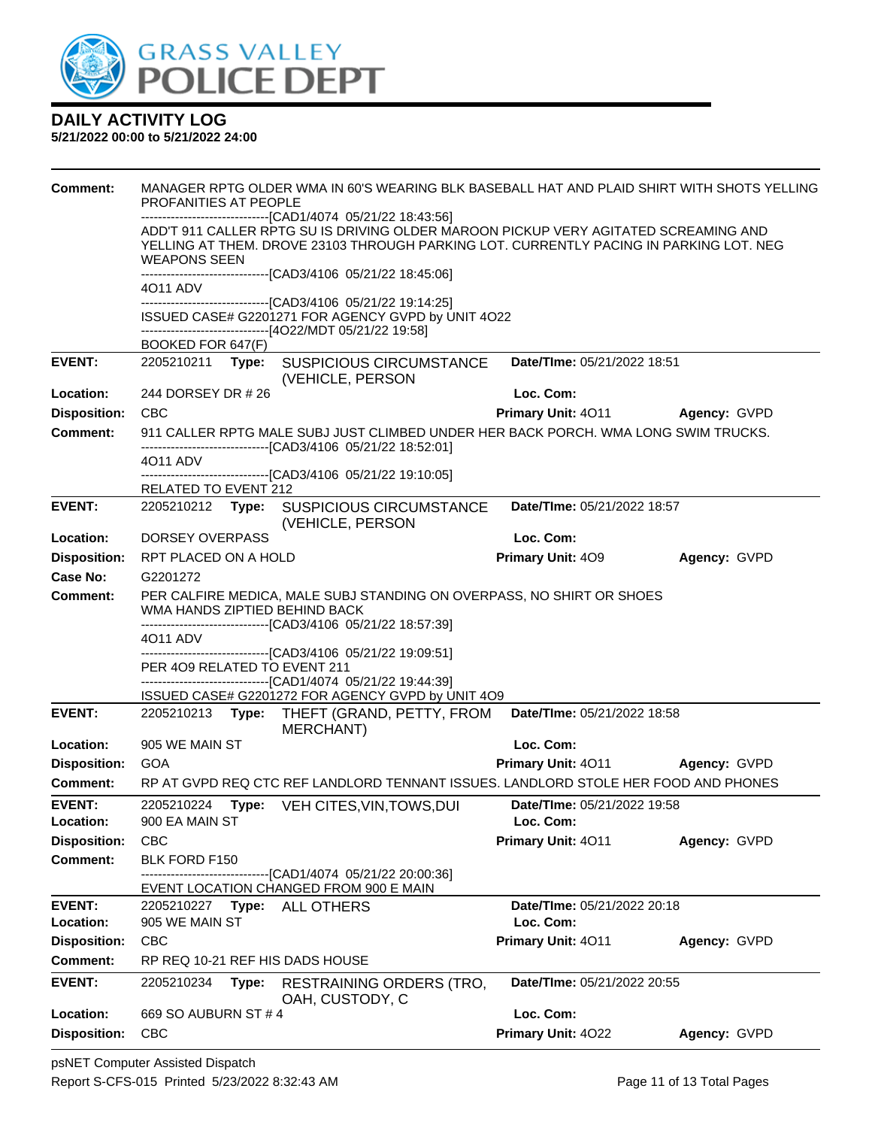

| <b>Comment:</b>     | MANAGER RPTG OLDER WMA IN 60'S WEARING BLK BASEBALL HAT AND PLAID SHIRT WITH SHOTS YELLING<br>PROFANITIES AT PEOPLE                                                    |                             |              |  |  |
|---------------------|------------------------------------------------------------------------------------------------------------------------------------------------------------------------|-----------------------------|--------------|--|--|
|                     | ------------------------------[CAD1/4074 05/21/22 18:43:56]                                                                                                            |                             |              |  |  |
|                     | ADD'T 911 CALLER RPTG SU IS DRIVING OLDER MAROON PICKUP VERY AGITATED SCREAMING AND                                                                                    |                             |              |  |  |
|                     | YELLING AT THEM. DROVE 23103 THROUGH PARKING LOT. CURRENTLY PACING IN PARKING LOT. NEG<br><b>WEAPONS SEEN</b>                                                          |                             |              |  |  |
|                     | ----------------------------------[CAD3/4106 05/21/22 18:45:06]                                                                                                        |                             |              |  |  |
|                     | 4011 ADV                                                                                                                                                               |                             |              |  |  |
|                     | -------------------------------[CAD3/4106 05/21/22 19:14:25]<br>ISSUED CASE# G2201271 FOR AGENCY GVPD by UNIT 4O22                                                     |                             |              |  |  |
|                     | ------------------------------[4O22/MDT 05/21/22 19:58]                                                                                                                |                             |              |  |  |
|                     | BOOKED FOR 647(F)                                                                                                                                                      |                             |              |  |  |
| <b>EVENT:</b>       | 2205210211 Type: SUSPICIOUS CIRCUMSTANCE<br>(VEHICLE, PERSON                                                                                                           | Date/TIme: 05/21/2022 18:51 |              |  |  |
| Location:           | 244 DORSEY DR # 26                                                                                                                                                     | Loc. Com:                   |              |  |  |
| <b>Disposition:</b> | <b>CBC</b>                                                                                                                                                             | Primary Unit: 4011          | Agency: GVPD |  |  |
| Comment:            | 911 CALLER RPTG MALE SUBJ JUST CLIMBED UNDER HER BACK PORCH. WMA LONG SWIM TRUCKS.<br>------------------------------[CAD3/4106 05/21/22 18:52:01]                      |                             |              |  |  |
|                     | 4011 ADV                                                                                                                                                               |                             |              |  |  |
|                     | --------------------[CAD3/4106_05/21/22 19:10:05]<br>RELATED TO EVENT 212                                                                                              |                             |              |  |  |
| <b>EVENT:</b>       | 2205210212 Type:<br><b>SUSPICIOUS CIRCUMSTANCE</b>                                                                                                                     | Date/TIme: 05/21/2022 18:57 |              |  |  |
|                     | (VEHICLE, PERSON                                                                                                                                                       |                             |              |  |  |
| Location:           | DORSEY OVERPASS                                                                                                                                                        | Loc. Com:                   |              |  |  |
| <b>Disposition:</b> | RPT PLACED ON A HOLD                                                                                                                                                   | <b>Primary Unit: 409</b>    | Agency: GVPD |  |  |
| <b>Case No:</b>     | G2201272                                                                                                                                                               |                             |              |  |  |
| <b>Comment:</b>     | PER CALFIRE MEDICA, MALE SUBJ STANDING ON OVERPASS, NO SHIRT OR SHOES<br>WMA HANDS ZIPTIED BEHIND BACK<br>-------------------------------[CAD3/4106 05/21/22 18:57:39] |                             |              |  |  |
|                     | 4011 ADV                                                                                                                                                               |                             |              |  |  |
|                     | ---------------------------------[CAD3/4106 05/21/22 19:09:51]                                                                                                         |                             |              |  |  |
|                     | PER 409 RELATED TO EVENT 211<br>-------------------------------[CAD1/4074 05/21/22 19:44:39]                                                                           |                             |              |  |  |
|                     | ISSUED CASE# G2201272 FOR AGENCY GVPD by UNIT 4O9                                                                                                                      |                             |              |  |  |
| <b>EVENT:</b>       | 2205210213 Type:<br>THEFT (GRAND, PETTY, FROM<br><b>MERCHANT)</b>                                                                                                      | Date/TIme: 05/21/2022 18:58 |              |  |  |
| Location:           | 905 WE MAIN ST                                                                                                                                                         | Loc. Com:                   |              |  |  |
| <b>Disposition:</b> | <b>GOA</b>                                                                                                                                                             | <b>Primary Unit: 4011</b>   | Agency: GVPD |  |  |
| <b>Comment:</b>     | RP AT GVPD REQ CTC REF LANDLORD TENNANT ISSUES. LANDLORD STOLE HER FOOD AND PHONES                                                                                     |                             |              |  |  |
| <b>EVENT:</b>       | 2205210224<br>Type: VEH CITES, VIN, TOWS, DUI                                                                                                                          | Date/TIme: 05/21/2022 19:58 |              |  |  |
| Location:           | 900 EA MAIN ST                                                                                                                                                         | Loc. Com:                   |              |  |  |
| <b>Disposition:</b> | <b>CBC</b>                                                                                                                                                             | Primary Unit: 4011          | Agency: GVPD |  |  |
| <b>Comment:</b>     | BLK FORD F150<br>-----------------------[CAD1/4074_05/21/22_20:00:36]                                                                                                  |                             |              |  |  |
|                     | EVENT LOCATION CHANGED FROM 900 E MAIN                                                                                                                                 |                             |              |  |  |
| <b>EVENT:</b>       | 2205210227    Type: ALL OTHERS                                                                                                                                         | Date/TIme: 05/21/2022 20:18 |              |  |  |
| Location:           | 905 WE MAIN ST                                                                                                                                                         | Loc. Com:                   |              |  |  |
| <b>Disposition:</b> | <b>CBC</b>                                                                                                                                                             | Primary Unit: 4011          | Agency: GVPD |  |  |
| Comment:            | RP REQ 10-21 REF HIS DADS HOUSE                                                                                                                                        |                             |              |  |  |
| <b>EVENT:</b>       | 2205210234<br><b>RESTRAINING ORDERS (TRO,</b><br>Type:<br>OAH, CUSTODY, C                                                                                              | Date/TIme: 05/21/2022 20:55 |              |  |  |
| Location:           | 669 SO AUBURN ST # 4                                                                                                                                                   | Loc. Com:                   |              |  |  |
| <b>Disposition:</b> | <b>CBC</b>                                                                                                                                                             | Primary Unit: 4022          | Agency: GVPD |  |  |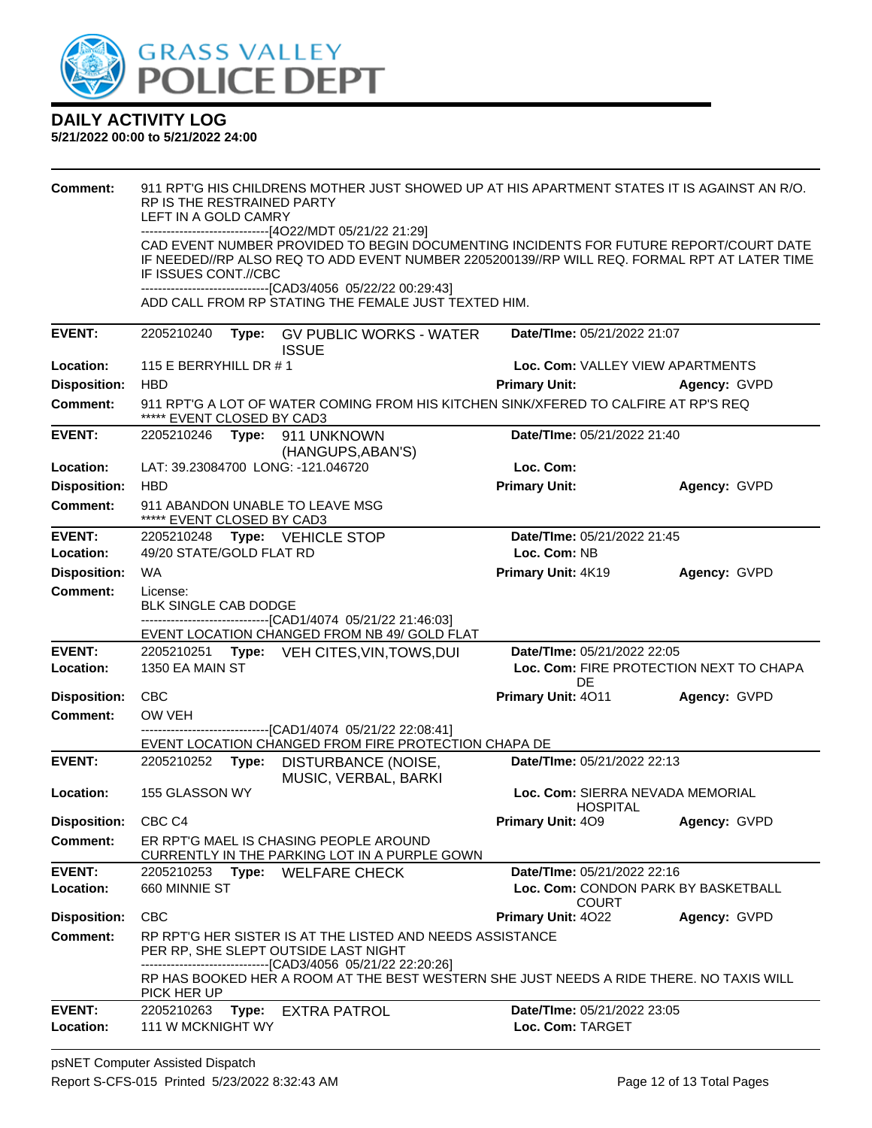

| Comment:                   | RP IS THE RESTRAINED PARTY<br>LEFT IN A GOLD CAMRY<br>------------------------------[4O22/MDT 05/21/22 21:29]<br>IF ISSUES CONT.//CBC | 911 RPT'G HIS CHILDRENS MOTHER JUST SHOWED UP AT HIS APARTMENT STATES IT IS AGAINST AN R/O.<br>CAD EVENT NUMBER PROVIDED TO BEGIN DOCUMENTING INCIDENTS FOR FUTURE REPORT/COURT DATE<br>IF NEEDED//RP ALSO REQ TO ADD EVENT NUMBER 2205200139//RP WILL REQ. FORMAL RPT AT LATER TIME<br>-------------------------------[CAD3/4056 05/22/22 00:29:43]<br>ADD CALL FROM RP STATING THE FEMALE JUST TEXTED HIM. |                                                                                    |              |
|----------------------------|---------------------------------------------------------------------------------------------------------------------------------------|--------------------------------------------------------------------------------------------------------------------------------------------------------------------------------------------------------------------------------------------------------------------------------------------------------------------------------------------------------------------------------------------------------------|------------------------------------------------------------------------------------|--------------|
| <b>EVENT:</b>              | 2205210240                                                                                                                            | Type: GV PUBLIC WORKS - WATER<br><b>ISSUE</b>                                                                                                                                                                                                                                                                                                                                                                | Date/TIme: 05/21/2022 21:07                                                        |              |
| Location:                  | 115 E BERRYHILL DR $#$ 1                                                                                                              |                                                                                                                                                                                                                                                                                                                                                                                                              | Loc. Com: VALLEY VIEW APARTMENTS                                                   |              |
| <b>Disposition:</b>        | <b>HBD</b>                                                                                                                            |                                                                                                                                                                                                                                                                                                                                                                                                              | <b>Primary Unit:</b>                                                               | Agency: GVPD |
| <b>Comment:</b>            | ***** EVENT CLOSED BY CAD3                                                                                                            | 911 RPT'G A LOT OF WATER COMING FROM HIS KITCHEN SINK/XFERED TO CALFIRE AT RP'S REQ                                                                                                                                                                                                                                                                                                                          |                                                                                    |              |
| <b>EVENT:</b>              | 2205210246 Type: 911 UNKNOWN                                                                                                          | (HANGUPS, ABAN'S)                                                                                                                                                                                                                                                                                                                                                                                            | Date/TIme: 05/21/2022 21:40                                                        |              |
| Location:                  | LAT: 39.23084700 LONG: -121.046720                                                                                                    |                                                                                                                                                                                                                                                                                                                                                                                                              | Loc. Com:                                                                          |              |
| <b>Disposition:</b>        | <b>HBD</b>                                                                                                                            |                                                                                                                                                                                                                                                                                                                                                                                                              | <b>Primary Unit:</b>                                                               | Agency: GVPD |
| <b>Comment:</b>            | 911 ABANDON UNABLE TO LEAVE MSG<br>***** EVENT CLOSED BY CAD3                                                                         |                                                                                                                                                                                                                                                                                                                                                                                                              |                                                                                    |              |
| <b>EVENT:</b><br>Location: | 2205210248 Type: VEHICLE STOP<br>49/20 STATE/GOLD FLAT RD                                                                             |                                                                                                                                                                                                                                                                                                                                                                                                              | Date/TIme: 05/21/2022 21:45<br>Loc. Com: NB                                        |              |
| <b>Disposition:</b>        | <b>WA</b>                                                                                                                             |                                                                                                                                                                                                                                                                                                                                                                                                              | Primary Unit: 4K19                                                                 | Agency: GVPD |
| <b>Comment:</b>            | License:<br>BLK SINGLE CAB DODGE<br>-------------------------------[CAD1/4074 05/21/22 21:46:03]                                      | EVENT LOCATION CHANGED FROM NB 49/ GOLD FLAT                                                                                                                                                                                                                                                                                                                                                                 |                                                                                    |              |
| <b>EVENT:</b><br>Location: | 1350 EA MAIN ST                                                                                                                       | 2205210251 Type: VEH CITES, VIN, TOWS, DUI                                                                                                                                                                                                                                                                                                                                                                   | Date/TIme: 05/21/2022 22:05<br>Loc. Com: FIRE PROTECTION NEXT TO CHAPA<br>DE       |              |
| <b>Disposition:</b>        | <b>CBC</b>                                                                                                                            |                                                                                                                                                                                                                                                                                                                                                                                                              | Primary Unit: 4011                                                                 | Agency: GVPD |
| Comment:                   | OW VEH                                                                                                                                | -----------------[CAD1/4074_05/21/22_22:08:41]                                                                                                                                                                                                                                                                                                                                                               |                                                                                    |              |
|                            |                                                                                                                                       | EVENT LOCATION CHANGED FROM FIRE PROTECTION CHAPA DE                                                                                                                                                                                                                                                                                                                                                         |                                                                                    |              |
| <b>EVENT:</b>              | 2205210252                                                                                                                            | Type: DISTURBANCE (NOISE,<br>MUSIC, VERBAL, BARKI                                                                                                                                                                                                                                                                                                                                                            | Date/TIme: 05/21/2022 22:13                                                        |              |
| Location:                  | 155 GLASSON WY                                                                                                                        |                                                                                                                                                                                                                                                                                                                                                                                                              | Loc. Com: SIERRA NEVADA MEMORIAL<br><b>HOSPITAL</b>                                |              |
| <b>Disposition:</b>        | CBC <sub>C4</sub>                                                                                                                     |                                                                                                                                                                                                                                                                                                                                                                                                              | Primary Unit: 409                                                                  | Agency: GVPD |
| <b>Comment:</b>            | ER RPT'G MAEL IS CHASING PEOPLE AROUND                                                                                                | CURRENTLY IN THE PARKING LOT IN A PURPLE GOWN                                                                                                                                                                                                                                                                                                                                                                |                                                                                    |              |
| <b>EVENT:</b><br>Location: | 2205210253<br>660 MINNIE ST                                                                                                           | Type: WELFARE CHECK                                                                                                                                                                                                                                                                                                                                                                                          | Date/TIme: 05/21/2022 22:16<br>Loc. Com: CONDON PARK BY BASKETBALL<br><b>COURT</b> |              |
| <b>Disposition:</b>        | <b>CBC</b>                                                                                                                            |                                                                                                                                                                                                                                                                                                                                                                                                              | <b>Primary Unit: 4022</b>                                                          | Agency: GVPD |
| <b>Comment:</b>            | PER RP, SHE SLEPT OUTSIDE LAST NIGHT<br>-------------------------------[CAD3/4056_05/21/22 22:20:26]<br>PICK HER UP                   | RP RPT'G HER SISTER IS AT THE LISTED AND NEEDS ASSISTANCE<br>RP HAS BOOKED HER A ROOM AT THE BEST WESTERN SHE JUST NEEDS A RIDE THERE. NO TAXIS WILL                                                                                                                                                                                                                                                         |                                                                                    |              |
| <b>EVENT:</b>              | 2205210263<br>Type:                                                                                                                   | <b>EXTRA PATROL</b>                                                                                                                                                                                                                                                                                                                                                                                          | Date/TIme: 05/21/2022 23:05                                                        |              |
| Location:                  | 111 W MCKNIGHT WY                                                                                                                     |                                                                                                                                                                                                                                                                                                                                                                                                              | Loc. Com: TARGET                                                                   |              |